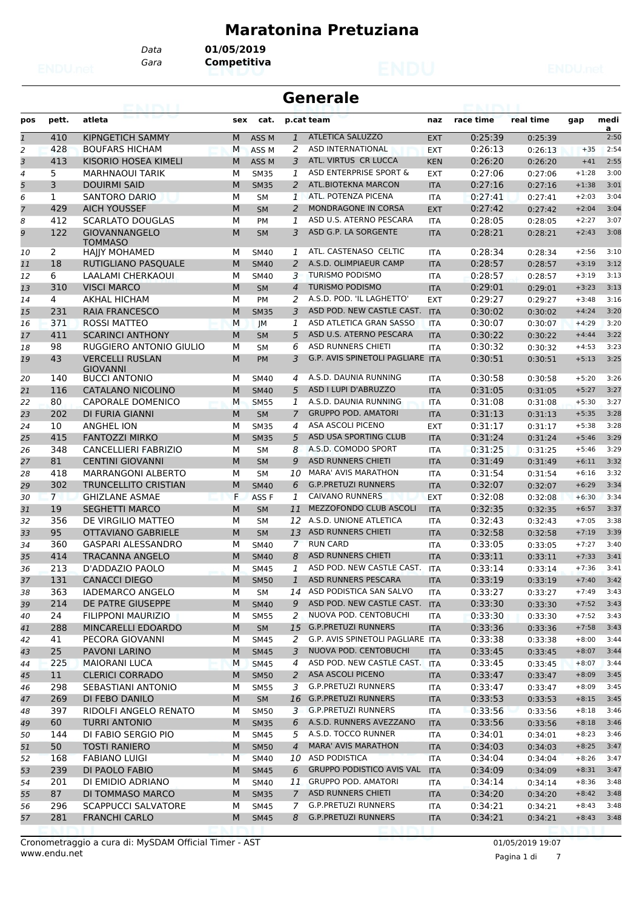#### **Maratonina Pretuziana**

*Data* **01/05/2019**

*Gara* **Competitiva**

|                |                | emiri                                     |        |                            |                | Generale                                           |                          |                    |                    |                    |              |
|----------------|----------------|-------------------------------------------|--------|----------------------------|----------------|----------------------------------------------------|--------------------------|--------------------|--------------------|--------------------|--------------|
| pos            | pett.          | atleta                                    | sex    | cat.                       |                | p.cat team                                         | naz                      | race time          | real time          | gap                | medi<br>a    |
| $\mathbf{1}$   | 410            | KIPNGETICH SAMMY                          | M      | ASS <sub>M</sub>           | $\mathbf{1}$   | <b>ATLETICA SALUZZO</b>                            | <b>EXT</b>               | 0:25:39            | 0:25:39            |                    | 2:50         |
| 2              | 428            | <b>BOUFARS HICHAM</b>                     | M      | ASS <sub>M</sub>           | 2              | <b>ASD INTERNATIONAL</b>                           | <b>EXT</b>               | 0:26:13            | 0:26:13            | $+35$              | 2:54         |
| 3              | 413            | KISORIO HOSEA KIMELI                      | M      | ASS <sub>M</sub>           | 3              | ATL. VIRTUS CR LUCCA                               | <b>KEN</b>               | 0:26:20            | 0:26:20            | $+41$              | 2:55         |
| $\overline{4}$ | 5              | <b>MARHNAOUI TARIK</b>                    | м      | <b>SM35</b>                | 1              | ASD ENTERPRISE SPORT &                             | <b>EXT</b>               | 0:27:06            | 0:27:06            | $+1:28$            | 3:00         |
| 5              | 3              | <b>DOUIRMI SAID</b>                       | M      | <b>SM35</b>                | 2              | ATL.BIOTEKNA MARCON                                | <b>ITA</b>               | 0:27:16            | 0:27:16            | $+1:38$            | 3:01         |
| 6              | 1              | SANTORO DARIO                             | М      | SМ                         | $\mathbf{1}$   | ATL. POTENZA PICENA                                | <b>ITA</b>               | 0:27:41            | 0:27:41            | $+2:03$            | 3:04         |
| $\overline{7}$ | 429            | <b>AICH YOUSSEF</b>                       | M      | <b>SM</b>                  | 2              | MONDRAGONE IN CORSA                                | <b>EXT</b>               | 0:27:42            | 0:27:42            | $+2:04$            | 3:04         |
| 8              | 412            | <b>SCARLATO DOUGLAS</b>                   | М      | PM                         | 1              | ASD U.S. ATERNO PESCARA                            | <b>ITA</b>               | 0:28:05            | 0:28:05            | $+2:27$            | 3:07         |
| 9              | 122            | <b>GIOVANNANGELO</b><br><b>TOMMASO</b>    | M      | <b>SM</b>                  | 3              | ASD G.P. LA SORGENTE                               | <b>ITA</b>               | 0:28:21            | 0:28:21            | $+2:43$            | 3:08         |
| 10             | 2              | <b>HAJJY MOHAMED</b>                      | м      | <b>SM40</b>                | 1              | ATL. CASTENASO CELTIC                              | <b>ITA</b>               | 0:28:34            | 0:28:34            | $+2:56$            | 3:10         |
| 11             | 18             | RUTIGLIANO PASQUALE                       | M      | <b>SM40</b>                | 2              | A.S.D. OLIMPIAEUR CAMP                             | <b>ITA</b>               | 0:28:57            | 0:28:57            | $+3:19$            | 3:12         |
| 12             | 6              | <b>LAALAMI CHERKAOUI</b>                  | М      | <b>SM40</b>                | 3              | <b>TURISMO PODISMO</b>                             | <b>ITA</b>               | 0:28:57            | 0:28:57            | $+3:19$            | 3:13         |
| 13             | 310            | <b>VISCI MARCO</b>                        | M      | <b>SM</b>                  | $\overline{4}$ | <b>TURISMO PODISMO</b>                             | <b>ITA</b>               | 0:29:01            | 0:29:01            | $+3:23$            | 3:13         |
| 14             | $\overline{4}$ | AKHAL HICHAM                              | М      | <b>PM</b>                  | 2              | A.S.D. POD. 'IL LAGHETTO'                          | <b>EXT</b>               | 0:29:27            | 0:29:27            | $+3:48$            | 3:16         |
| 15             | 231            | <b>RAIA FRANCESCO</b>                     | M      | <b>SM35</b>                | 3              | ASD POD. NEW CASTLE CAST.                          | <b>ITA</b>               | 0:30:02            | 0:30:02            | $+4:24$            | 3:20         |
| 16             | 371            | <b>ROSSI MATTEO</b>                       | M      | JМ                         | 1              | ASD ATLETICA GRAN SASSO                            | <b>ITA</b>               | 0:30:07            | 0:30:07            | $+4:29$            | 3:20         |
| 17             | 411            | <b>SCARINCI ANTHONY</b>                   | M      | <b>SM</b>                  | 5              | ASD U.S. ATERNO PESCARA                            | <b>ITA</b>               | 0:30:22            | 0:30:22            | $+4:44$            | 3:22         |
| 18             | 98             | RUGGIERO ANTONIO GIULIO                   | м      | <b>SM</b>                  | 6              | <b>ASD RUNNERS CHIETI</b>                          | <b>ITA</b>               | 0:30:32            | 0:30:32            | $+4:53$            | 3:23         |
| 19             | 43             | <b>VERCELLI RUSLAN</b><br><b>GIOVANNI</b> | M      | <b>PM</b>                  | 3              | <b>G.P. AVIS SPINETOLI PAGLIARE ITA</b>            |                          | 0:30:51            | 0:30:51            | $+5:13$            | 3:25         |
| 20             | 140            | <b>BUCCI ANTONIO</b>                      | м      | <b>SM40</b>                | 4              | A.S.D. DAUNIA RUNNING                              | ITA                      | 0:30:58            | 0:30:58            | $+5:20$            | 3:26         |
| 21             | 116            | CATALANO NICOLINO                         | M      | <b>SM40</b>                | 5              | ASD I LUPI D'ABRUZZO                               | <b>ITA</b>               | 0:31:05            | 0:31:05            | $+5:27$            | 3:27         |
| 22             | 80             | <b>CAPORALE DOMENICO</b>                  | M      | <b>SM55</b>                | 1              | A.S.D. DAUNIA RUNNING                              | <b>ITA</b>               | 0:31:08            | 0:31:08            | $+5:30$            | 3:27         |
| 23             | 202            | DI FURIA GIANNI                           | M      | <b>SM</b>                  | 7              | <b>GRUPPO POD. AMATORI</b>                         | <b>ITA</b>               | 0:31:13            | 0:31:13            | $+5:35$            | 3:28         |
| 24             | 10             | <b>ANGHEL ION</b>                         | м      | <b>SM35</b>                | 4              | ASA ASCOLI PICENO                                  | <b>EXT</b>               | 0:31:17            | 0:31:17            | $+5:38$            | 3:28         |
| 25             | 415            | <b>FANTOZZI MIRKO</b>                     | M      | <b>SM35</b>                | 5              | ASD USA SPORTING CLUB                              | <b>ITA</b>               | 0:31:24            | 0:31:24            | $+5:46$            | 3:29         |
| 26             | 348            | <b>CANCELLIERI FABRIZIO</b>               | М      | <b>SM</b>                  | 8              | A.S.D. COMODO SPORT                                | <b>ITA</b>               | 0:31:25            | 0:31:25            | $+5:46$            | 3:29         |
| 27             | 81             | <b>CENTINI GIOVANNI</b>                   | M      | <b>SM</b>                  | 9              | <b>ASD RUNNERS CHIETI</b>                          | <b>ITA</b>               | 0:31:49            | 0:31:49            | $+6:11$            | 3:32         |
| 28             | 418            | <b>MARRANGONI ALBERTO</b>                 | м      | <b>SM</b>                  | 10             | <b>MARA' AVIS MARATHON</b>                         | <b>ITA</b>               | 0:31:54            | 0:31:54            | $+6:16$            | 3:32         |
| 29             | 302            | <b>TRUNCELLITO CRISTIAN</b>               | M      | <b>SM40</b>                | 6              | <b>G.P.PRETUZI RUNNERS</b>                         | <b>ITA</b>               | 0:32:07            | 0:32:07            | $+6:29$            | 3:34         |
| 30             | $7^{\circ}$    | <b>GHIZLANE ASMAE</b>                     | F      | ASS F                      | 1              | <b>CAIVANO RUNNERS</b>                             | <b>EXT</b>               | 0:32:08            | 0:32:08            | $+6:30$            | 3:34         |
| 31             | 19             | <b>SEGHETTI MARCO</b>                     | M      | <b>SM</b>                  | 11             | MEZZOFONDO CLUB ASCOLI                             | <b>ITA</b>               | 0:32:35            | 0:32:35            | $+6:57$            | 3:37         |
| 32             | 356            | DE VIRGILIO MATTEO                        | м      | <b>SM</b>                  | 12             | A.S.D. UNIONE ATLETICA                             | <b>ITA</b>               | 0:32:43            | 0:32:43            | $+7:05$            | 3:38         |
| 33             | 95             | OTTAVIANO GABRIELE                        | M      | <b>SM</b>                  | 13             | <b>ASD RUNNERS CHIETI</b>                          | <b>ITA</b>               | 0:32:58            | 0:32:58            | $+7:19$            | 3:39         |
| 34             | 360            | <b>GASPARI ALESSANDRO</b>                 | м      | <b>SM40</b>                | $\overline{7}$ | <b>RUN CARD</b>                                    | ITA                      | 0:33:05            | 0:33:05            | $+7:27$            | 3:40         |
| 35             | 414            | <b>TRACANNA ANGELO</b>                    | M      | <b>SM40</b>                | 8              | <b>ASD RUNNERS CHIETI</b>                          | <b>ITA</b>               | 0:33:11            | 0:33:11            | $+7:33$            | 3:41         |
| 36             | 213            | D'ADDAZIO PAOLO                           | м      | <b>SM45</b>                | 1              | ASD POD. NEW CASTLE CAST.                          | <b>ITA</b>               | 0:33:14            | 0:33:14            | $+7:36$            | 3:41         |
| 37             | 131            | <b>CANACCI DIEGO</b>                      | M      | <b>SM50</b>                | $\mathbf{1}$   | ASD RUNNERS PESCARA                                | <b>ITA</b>               | 0:33:19            | 0:33:19            | $+7:40$            | 3:42         |
| 38             | 363            | <b>IADEMARCO ANGELO</b>                   | м      | SM                         | 14             | ASD PODISTICA SAN SALVO                            | ITA                      | 0:33:27            | 0:33:27            | $+7:49$            | 3:43         |
| 39             | 214            | DE PATRE GIUSEPPE                         | M      | <b>SM40</b>                | 9              | ASD POD. NEW CASTLE CAST.<br>NUOVA POD. CENTOBUCHI | <b>ITA</b>               | 0:33:30            | 0:33:30            | $+7:52$            | 3:43<br>3:43 |
| 40             | 24             | <b>FILIPPONI MAURIZIO</b>                 | м      | <b>SM55</b>                | 2              | <b>G.P.PRETUZI RUNNERS</b>                         | ITA                      | 0:33:30            | 0:33:30            | $+7:52$            | 3:43         |
| 41             | 288<br>41      | MINCARELLI EDOARDO<br>PECORA GIOVANNI     | M<br>М | SM<br><b>SM45</b>          | 15<br>2        | G.P. AVIS SPINETOLI PAGLIARE ITA                   | <b>ITA</b>               | 0:33:36<br>0:33:38 | 0:33:36            | $+7:58$            | 3:44         |
| 42             |                |                                           |        |                            | 3              | NUOVA POD. CENTOBUCHI                              |                          |                    | 0:33:38            | $+8:00$<br>$+8:07$ | 3:44         |
| 43             | 25<br>225      | PAVONI LARINO<br><b>MAIORANI LUCA</b>     | М<br>М | <b>SM45</b>                | 4              | ASD POD. NEW CASTLE CAST.                          | <b>ITA</b><br><b>ITA</b> | 0:33:45<br>0:33:45 | 0:33:45            | $+8:07$            | 3:44         |
| 44             | 11             | <b>CLERICI CORRADO</b>                    | M      | <b>SM45</b><br><b>SM50</b> | $\overline{a}$ | ASA ASCOLI PICENO                                  |                          |                    | 0:33:45<br>0:33:47 | $+8:09$            | 3:45         |
| 45             | 298            | SEBASTIANI ANTONIO                        |        | <b>SM55</b>                | 3              | G.P.PRETUZI RUNNERS                                | <b>ITA</b>               | 0:33:47<br>0:33:47 |                    | $+8:09$            | 3:45         |
| 46             | 269            | DI FEBO DANILO                            | М<br>M | SM                         | 16             | <b>G.P.PRETUZI RUNNERS</b>                         | ITA                      |                    | 0:33:47            | $+8:15$            | 3:45         |
| 47             | 397            | RIDOLFI ANGELO RENATO                     | М      |                            |                | 3 G.P.PRETUZI RUNNERS                              | <b>ITA</b>               | 0:33:53<br>0:33:56 | 0:33:53            | $+8:18$            | 3:46         |
| 48<br>49       | 60             | <b>TURRI ANTONIO</b>                      | М      | <b>SM50</b><br><b>SM35</b> | 6              | A.S.D. RUNNERS AVEZZANO                            | ITA                      | 0:33:56            | 0:33:56<br>0:33:56 | $+8:18$            | 3:46         |
|                | 144            | DI FABIO SERGIO PIO                       | м      |                            | 5              | A.S.D. TOCCO RUNNER                                | <b>ITA</b>               | 0:34:01            |                    | $+8:23$            | 3:46         |
| 50             | 50             | <b>TOSTI RANIERO</b>                      | M      | <b>SM45</b>                | $\overline{4}$ | <b>MARA' AVIS MARATHON</b>                         | ITA                      |                    | 0:34:01            | $+8:25$            | 3:47         |
| 51             | 168            | <b>FABIANO LUIGI</b>                      | м      | <b>SM50</b><br><b>SM40</b> | 10             | <b>ASD PODISTICA</b>                               | <b>ITA</b><br>ITA        | 0:34:03<br>0:34:04 | 0:34:03<br>0:34:04 | $+8:26$            | 3:47         |
| 52<br>53       | 239            | DI PAOLO FABIO                            | M      | <b>SM45</b>                | 6              | <b>GRUPPO PODISTICO AVIS VAL</b>                   | <b>ITA</b>               | 0:34:09            | 0:34:09            | $+8:31$            | 3:47         |
|                | 201            | DI EMIDIO ADRIANO                         | М      | SM40                       | 11             | <b>GRUPPO POD. AMATORI</b>                         |                          | 0:34:14            |                    | $+8:36$            | 3:48         |
| 54<br>55       | 87             | DI TOMMASO MARCO                          | М      | <b>SM35</b>                | $\mathcal{I}$  | ASD RUNNERS CHIETI                                 | ITA                      | 0:34:20            | 0:34:14            | $+8:42$            | 3:48         |
|                | 296            | <b>SCAPPUCCI SALVATORE</b>                |        |                            | 7              | <b>G.P.PRETUZI RUNNERS</b>                         | <b>ITA</b>               |                    | 0:34:20            | $+8:43$            | 3:48         |
| 56             | 281            | <b>FRANCHI CARLO</b>                      | М<br>М | <b>SM45</b>                | 8              | <b>G.P.PRETUZI RUNNERS</b>                         | ITA                      | 0:34:21            | 0:34:21            |                    | 3:48         |
| 57             |                |                                           |        | <b>SM45</b>                |                |                                                    | <b>ITA</b>               | 0:34:21            | 0:34:21            | $+8:43$            |              |

Pagina 1 di 7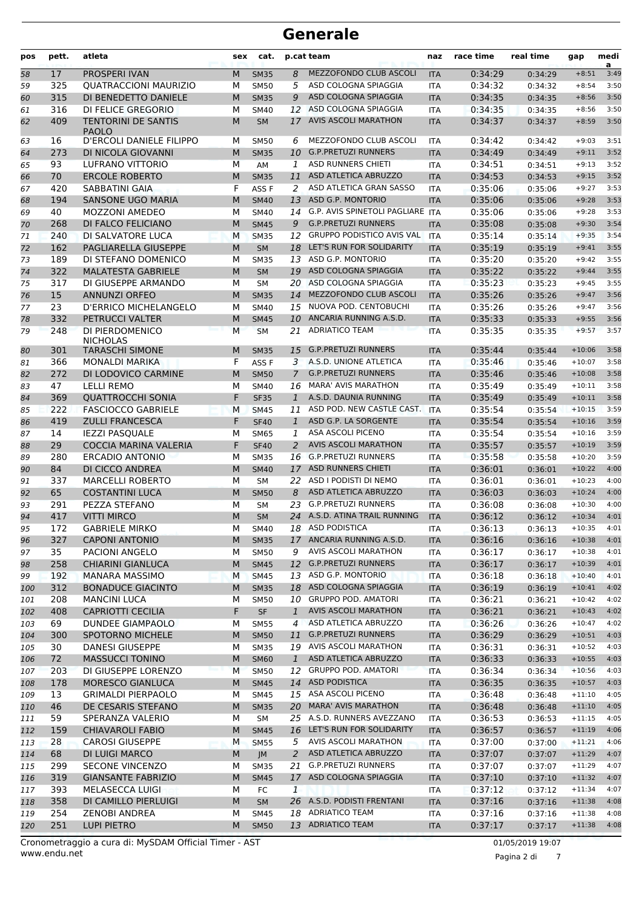| pos        | pett.      | atleta                                       | sex    | cat.                       |                    | p.cat team                                         | naz               | race time          | real time          | gap                  | medi<br>a    |
|------------|------------|----------------------------------------------|--------|----------------------------|--------------------|----------------------------------------------------|-------------------|--------------------|--------------------|----------------------|--------------|
| 58         | 17         | <b>PROSPERI IVAN</b>                         | M      | <b>SM35</b>                | 8                  | MEZZOFONDO CLUB ASCOLI                             | <b>ITA</b>        | 0:34:29            | 0:34:29            | $+8:51$              | 3:49         |
| 59         | 325        | <b>QUATRACCIONI MAURIZIO</b>                 | М      | <b>SM50</b>                | 5                  | ASD COLOGNA SPIAGGIA                               | <b>ITA</b>        | 0:34:32            | 0:34:32            | $+8:54$              | 3:50         |
| 60         | 315        | DI BENEDETTO DANIELE                         | M      | <b>SM35</b>                | 9                  | ASD COLOGNA SPIAGGIA                               | <b>ITA</b>        | 0:34:35            | 0:34:35            | $+8:56$              | 3:50         |
| 61         | 316        | DI FELICE GREGORIO                           | м      | <b>SM40</b>                | 12                 | ASD COLOGNA SPIAGGIA                               | <b>ITA</b>        | 0:34:35            | 0:34:35            | $+8:56$              | 3:50         |
| 62         | 409        | <b>TENTORINI DE SANTIS</b><br><b>PAOLO</b>   | M      | <b>SM</b>                  | 17                 | <b>AVIS ASCOLI MARATHON</b>                        | <b>ITA</b>        | 0:34:37            | 0:34:37            | $+8:59$              | 3:50         |
| 63         | 16         | D'ERCOLI DANIELE FILIPPO                     | м      | <b>SM50</b>                | 6                  | MEZZOFONDO CLUB ASCOLI                             | <b>ITA</b>        | 0:34:42            | 0:34:42            | $+9:03$              | 3:51         |
| 64         | 273        | DI NICOLA GIOVANNI                           | M      | <b>SM35</b>                | 10                 | <b>G.P.PRETUZI RUNNERS</b>                         | <b>ITA</b>        | 0:34:49            | 0:34:49            | $+9:11$              | 3:52         |
| 65         | 93         | LUFRANO VITTORIO                             | M      | AM                         | 1                  | <b>ASD RUNNERS CHIETI</b>                          | <b>ITA</b>        | 0:34:51            | 0:34:51            | $+9:13$              | 3:52         |
| 66         | 70         | <b>ERCOLE ROBERTO</b>                        | M      | <b>SM35</b>                | 11                 | ASD ATLETICA ABRUZZO                               | <b>ITA</b>        | 0:34:53            | 0:34:53            | $+9:15$              | 3:52         |
| 67         | 420        | SABBATINI GAIA                               | F      | ASS F                      | 2                  | ASD ATLETICA GRAN SASSO                            | ITA               | 0:35:06            | 0:35:06            | $+9:27$              | 3:53         |
| 68         | 194        | <b>SANSONE UGO MARIA</b>                     | M      | <b>SM40</b>                | 13                 | <b>ASD G.P. MONTORIO</b>                           | <b>ITA</b>        | 0:35:06            | 0:35:06            | $+9:28$              | 3:53         |
| 69         | 40         | <b>MOZZONI AMEDEO</b>                        | М      | <b>SM40</b>                | 14                 | G.P. AVIS SPINETOLI PAGLIARE ITA                   |                   | 0:35:06            | 0:35:06            | $+9:28$              | 3:53         |
| 70         | 268        | DI FALCO FELICIANO                           | M      | <b>SM45</b>                | 9                  | <b>G.P.PRETUZI RUNNERS</b>                         | <b>ITA</b>        | 0:35:08            | 0:35:08            | $+9:30$              | 3:54         |
| 71         | 240        | DI SALVATORE LUCA                            | M      | <b>SM35</b>                | 12                 | <b>GRUPPO PODISTICO AVIS VAL</b>                   | <b>ITA</b>        | 0:35:14            | 0:35:14            | $+9:35$              | 3:54         |
| 72         | 162        | PAGLIARELLA GIUSEPPE                         | M      | <b>SM</b>                  |                    | 18 LET'S RUN FOR SOLIDARITY                        | <b>ITA</b>        | 0:35:19            | 0:35:19            | $+9:41$              | 3:55         |
| 73         | 189        | DI STEFANO DOMENICO                          | М      | <b>SM35</b>                |                    | 13 ASD G.P. MONTORIO                               | <b>ITA</b>        | 0:35:20            | 0:35:20            | $+9:42$              | 3:55         |
| 74         | 322        | <b>MALATESTA GABRIELE</b>                    | M      | <b>SM</b>                  | 19                 | ASD COLOGNA SPIAGGIA                               | <b>ITA</b>        | 0:35:22            | 0:35:22            | $+9:44$              | 3:55         |
| 75         | 317        | DI GIUSEPPE ARMANDO                          | М      | <b>SM</b>                  | 20                 | ASD COLOGNA SPIAGGIA                               | <b>ITA</b>        | 0:35:23            | 0:35:23            | $+9:45$              | 3:55         |
| 76         | 15         | <b>ANNUNZI ORFEO</b>                         | M      | <b>SM35</b>                | 14                 | MEZZOFONDO CLUB ASCOLI                             | <b>ITA</b>        | 0:35:26            | 0:35:26            | $+9:47$              | 3:56         |
| 77         | 23         | <b>D'ERRICO MICHELANGELO</b>                 | М      | <b>SM40</b>                | 15                 | NUOVA POD. CENTOBUCHI                              | <b>ITA</b>        | 0:35:26            | 0:35:26            | $+9:47$              | 3:56         |
| 78         | 332        | PETRUCCI VALTER                              | M      | <b>SM45</b>                | 10                 | ANCARIA RUNNING A.S.D.                             | <b>ITA</b>        | 0:35:33            | 0:35:33            | $+9:55$              | 3:56         |
| 79         | 248        | DI PIERDOMENICO<br><b>NICHOLAS</b>           | M      | <b>SM</b>                  | 21                 | <b>ADRIATICO TEAM</b>                              | <b>ITA</b>        | 0:35:35            | 0:35:35            | $+9:57$              | 3:57         |
| 80         | 301        | <b>TARASCHI SIMONE</b>                       | M      | <b>SM35</b>                | 15                 | <b>G.P.PRETUZI RUNNERS</b>                         | <b>ITA</b>        | 0:35:44            | 0:35:44            | $+10:06$             | 3:58         |
| 81         | 366        | <b>MONALDI MARIKA</b>                        | F      | ASS F                      | 3                  | A.S.D. UNIONE ATLETICA                             | ITA               | 0:35:46            | 0:35:46            | $+10:07$             | 3:58         |
| 82         | 272        | DI LODOVICO CARMINE                          | M      | <b>SM50</b>                | $\overline{7}$     | <b>G.P.PRETUZI RUNNERS</b>                         | <b>ITA</b>        | 0:35:46            | 0:35:46            | $+10:08$             | 3:58         |
| 83         | 47         | <b>LELLI REMO</b>                            | М      | <b>SM40</b>                | 16                 | <b>MARA' AVIS MARATHON</b>                         | <b>ITA</b>        | 0:35:49            | 0:35:49            | $+10:11$             | 3:58         |
| 84         | 369        | <b>QUATTROCCHI SONIA</b>                     | F      | <b>SF35</b>                | $\mathbf{1}$       | A.S.D. DAUNIA RUNNING                              | <b>ITA</b>        | 0:35:49            | 0:35:49            | $+10:11$             | 3:58         |
| 85         | 222        | <b>FASCIOCCO GABRIELE</b>                    | M      | <b>SM45</b>                | 11                 | ASD POD. NEW CASTLE CAST.                          | <b>ITA</b>        | 0:35:54            | 0:35:54            | $+10:15$             | 3:59         |
| 86         | 419        | <b>ZULLI FRANCESCA</b>                       | F      | <b>SF40</b>                | $\mathbf{1}$       | ASD G.P. LA SORGENTE                               | <b>ITA</b>        | 0:35:54            | 0:35:54            | $+10:16$             | 3:59         |
| 87         | 14         | <b>IEZZI PASQUALE</b>                        | м      | SM65                       | 1                  | ASA ASCOLI PICENO                                  | <b>ITA</b>        | 0:35:54            | 0:35:54            | $+10:16$             | 3:59         |
| 88         | 29         | <b>COCCIA MARINA VALERIA</b>                 | F      | <b>SF40</b>                | 2                  | <b>AVIS ASCOLI MARATHON</b>                        | <b>ITA</b>        | 0:35:57            | 0:35:57            | $+10:19$             | 3:59         |
| 89         | 280        | <b>ERCADIO ANTONIO</b>                       | М      | <b>SM35</b>                |                    | 16 G.P.PRETUZI RUNNERS                             | <b>ITA</b>        | 0:35:58            | 0:35:58            | $+10:20$             | 3:59         |
| 90         | 84         | DI CICCO ANDREA                              | M      | <b>SM40</b>                | 17                 | <b>ASD RUNNERS CHIETI</b>                          | <b>ITA</b>        | 0:36:01            | 0:36:01            | $+10:22$             | 4:00         |
| 91         | 337        | <b>MARCELLI ROBERTO</b>                      | М      | <b>SM</b>                  | 22                 | ASD I PODISTI DI NEMO                              | <b>ITA</b>        | 0:36:01            | 0:36:01            | $+10:23$             | 4:00         |
| 92         | 65         | <b>COSTANTINI LUCA</b>                       | M      | <b>SM50</b>                | 8                  | ASD ATLETICA ABRUZZO                               | <b>ITA</b>        | 0:36:03            | 0:36:03            | $+10:24$             | 4:00         |
| 93         | 291        | PEZZA STEFANO                                | M      | <b>SM</b>                  | 23                 | <b>G.P.PRETUZI RUNNERS</b>                         | <b>ITA</b>        | 0:36:08            | 0:36:08            | $+10:30$             | 4:00         |
| 94         | 417        | <b>VITTI MIRCO</b>                           | M      | <b>SM</b>                  |                    | 24 A.S.D. ATINA TRAIL RUNNING                      | <b>ITA</b>        | 0:36:12            | 0:36:12            | $+10:34$             | 4:01         |
| 95         | 172        | <b>GABRIELE MIRKO</b>                        | м      | <b>SM40</b>                |                    | 18 ASD PODISTICA                                   | ITA               | 0:36:13            | 0:36:13            | $+10:35$             | 4:01         |
| 96         | 327        | <b>CAPONI ANTONIO</b>                        | M      | <b>SM35</b>                |                    | 17 ANCARIA RUNNING A.S.D.                          | <b>ITA</b>        | 0:36:16            | 0:36:16            | $+10:38$             | 4:01         |
| 97         | 35         | PACIONI ANGELO                               | М      | <b>SM50</b>                | 9                  | AVIS ASCOLI MARATHON                               | ITA               | 0:36:17            | 0:36:17            | $+10:38$             | 4:01         |
| 98         | 258        | <b>CHIARINI GIANLUCA</b>                     | M      | <b>SM45</b>                |                    | 12 G.P.PRETUZI RUNNERS                             | <b>ITA</b>        | 0:36:17            | 0:36:17            | $+10:39$             | 4:01         |
| 99         | 192        | MANARA MASSIMO                               | M      | <b>SM45</b>                |                    | 13 ASD G.P. MONTORIO                               | <b>ITA</b>        | 0:36:18            | 0:36:18            | $+10:40$             | 4:01         |
| 100        | 312        | <b>BONADUCE GIACINTO</b>                     | M      | <b>SM35</b>                | 18                 | ASD COLOGNA SPIAGGIA<br><b>GRUPPO POD. AMATORI</b> | <b>ITA</b>        | 0:36:19            | 0:36:19            | $+10:41$             | 4:02         |
| 101        | 208        | <b>MANCINI LUCA</b>                          | М      | <b>SM50</b>                | 10<br>$\mathbf{1}$ | AVIS ASCOLI MARATHON                               | ITA               | 0:36:21            | 0:36:21            | $+10:42$             | 4:02         |
| 102        | 408<br>69  | <b>CAPRIOTTI CECILIA</b><br>DUNDEE GIAMPAOLO | F<br>М | SF<br><b>SM55</b>          | $\overline{4}$     | ASD ATLETICA ABRUZZO                               | <b>ITA</b>        | 0:36:21<br>0:36:26 | 0:36:21            | $+10:43$             | 4:02<br>4:02 |
| 103        | 300        |                                              |        |                            | 11                 | <b>G.P.PRETUZI RUNNERS</b>                         | ITA               |                    | 0:36:26            | $+10:47$<br>$+10:51$ | 4:03         |
| 104        | 30         | SPOTORNO MICHELE<br><b>DANESI GIUSEPPE</b>   | M      | <b>SM50</b><br><b>SM35</b> |                    | 19 AVIS ASCOLI MARATHON                            | <b>ITA</b>        | 0:36:29<br>0:36:31 | 0:36:29            |                      | 4:03         |
| 105        | 72         | <b>MASSUCCI TONINO</b>                       | М<br>M | <b>SM60</b>                |                    | ASD ATLETICA ABRUZZO                               | ITA               |                    | 0:36:31            | $+10:52$             |              |
| 106        |            | DI GIUSEPPE LORENZO                          |        |                            | $\mathbf{1}$<br>12 | <b>GRUPPO POD. AMATORI</b>                         | <b>ITA</b>        | 0:36:33            | 0:36:33            | $+10:55$<br>$+10:56$ | 4:03<br>4:03 |
| 107        | 203<br>178 | <b>MORESCO GIANLUCA</b>                      | M<br>M | <b>SM50</b><br><b>SM45</b> |                    | 14 ASD PODISTICA                                   | <b>ITA</b>        | 0:36:34<br>0:36:35 | 0:36:34            |                      | 4:03         |
| 108        | 13         | <b>GRIMALDI PIERPAOLO</b>                    | М      |                            |                    | 15 ASA ASCOLI PICENO                               | <b>ITA</b>        | 0:36:48            | 0:36:35            | $+10:57$<br>$+11:10$ | 4:05         |
| 109        | 46         | DE CESARIS STEFANO                           | M      | SM45<br><b>SM35</b>        |                    | 20 MARA' AVIS MARATHON                             | ITA<br><b>ITA</b> | 0:36:48            | 0:36:48            | $+11:10$             | 4:05         |
| 110        |            | SPERANZA VALERIO                             |        |                            |                    | 25 A.S.D. RUNNERS AVEZZANO                         |                   |                    | 0:36:48            |                      | 4:05         |
| 111        | 59<br>159  | <b>CHIAVAROLI FABIO</b>                      | м<br>M | SM<br><b>SM45</b>          | 16                 | LET'S RUN FOR SOLIDARITY                           | ITA               | 0:36:53<br>0:36:57 | 0:36:53<br>0:36:57 | $+11:15$<br>$+11:19$ | 4:06         |
| 112        | 28         | <b>CAROSI GIUSEPPE</b>                       | M      |                            | 5                  | AVIS ASCOLI MARATHON                               | <b>ITA</b>        | 0:37:00            |                    | $+11:21$             | 4:06         |
| 113<br>114 | 68         | DI LUIGI MARCO                               | M      | <b>SM55</b><br>JM          | 2                  | ASD ATLETICA ABRUZZO                               | ITA<br><b>ITA</b> | 0:37:07            | 0:37:00<br>0:37:07 | $+11:29$             | 4:07         |
| 115        | 299        | <b>SECONE VINCENZO</b>                       | М      | <b>SM35</b>                |                    | 21 G.P.PRETUZI RUNNERS                             | ITA               | 0:37:07            | 0:37:07            | $+11:29$             | 4:07         |
| 116        | 319        | <b>GIANSANTE FABRIZIO</b>                    | M      | <b>SM45</b>                |                    | 17 ASD COLOGNA SPIAGGIA                            | <b>ITA</b>        | 0:37:10            | 0:37:10            | $+11:32$             | 4:07         |
| 117        | 393        | <b>MELASECCA LUIGI</b>                       | м      | FC                         | 1                  |                                                    | ITA               | 0:37:12            | 0:37:12            | $+11:34$             | 4:07         |
| 118        | 358        | DI CAMILLO PIERLUIGI                         | M      | <b>SM</b>                  | 26                 | A.S.D. PODISTI FRENTANI                            | <b>ITA</b>        | 0:37:16            | 0:37:16            | $+11:38$             | 4:08         |
| 119        | 254        | <b>ZENOBI ANDREA</b>                         | м      | SM45                       |                    | 18 ADRIATICO TEAM                                  | ITA               | 0:37:16            | 0:37:16            | $+11:38$             | 4:08         |
| 120        | 251        | LUPI PIETRO                                  | M      | <b>SM50</b>                |                    | 13 ADRIATICO TEAM                                  | <b>ITA</b>        | 0:37:17            | 0:37:17            | $+11:38$             | 4:08         |
|            |            |                                              |        |                            |                    |                                                    |                   |                    |                    |                      |              |

Pagina 2 di 7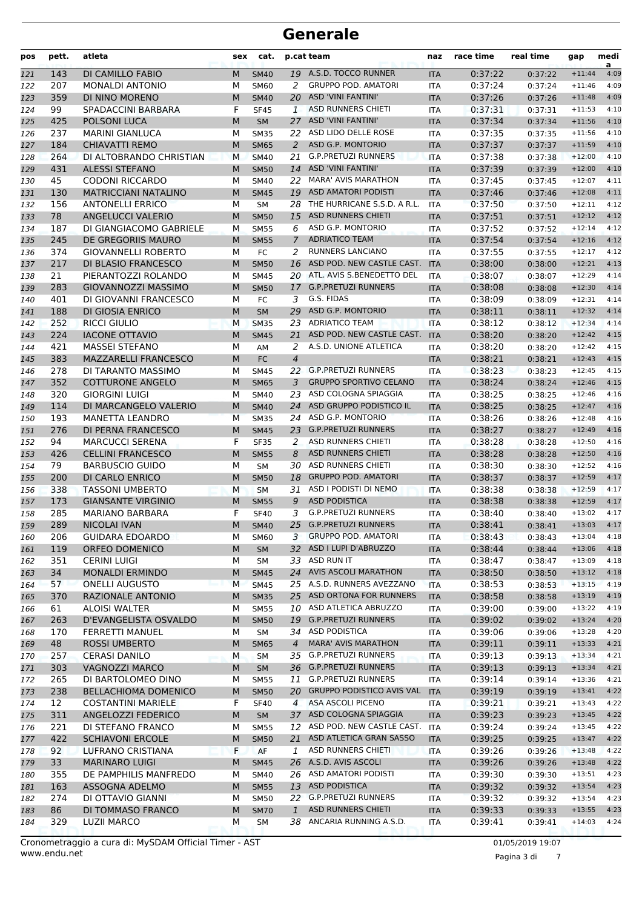| pos        | pett.      | atleta                                                 | sex    | cat.                     |                | p.cat team                                               | naz                      | race time          | real time          | gap                  | medi<br>a    |
|------------|------------|--------------------------------------------------------|--------|--------------------------|----------------|----------------------------------------------------------|--------------------------|--------------------|--------------------|----------------------|--------------|
| 121        | 143        | DI CAMILLO FABIO                                       | M      | <b>SM40</b>              |                | 19 A.S.D. TOCCO RUNNER                                   | <b>ITA</b>               | 0:37:22            | 0:37:22            | $+11:44$             | 4:09         |
| 122        | 207        | <b>MONALDI ANTONIO</b>                                 | М      | SM60                     | 2              | <b>GRUPPO POD, AMATORI</b>                               | <b>ITA</b>               | 0:37:24            | 0:37:24            | $+11:46$             | 4:09         |
| 123        | 359        | DI NINO MORENO                                         | M      | <b>SM40</b>              | 20             | <b>ASD 'VINI FANTINI'</b>                                | <b>ITA</b>               | 0:37:26            | 0:37:26            | $+11:48$             | 4:09         |
| 124        | 99         | SPADACCINI BARBARA                                     | F      | <b>SF45</b>              | $\mathbf{1}$   | ASD RUNNERS CHIETI                                       | <b>ITA</b>               | 0:37:31            | 0:37:31            | $+11:53$             | 4:10         |
| 125        | 425        | POLSONI LUCA                                           | M      | <b>SM</b>                | 27             | <b>ASD 'VINI FANTINI'</b>                                | <b>ITA</b>               | 0:37:34            | 0:37:34            | $+11:56$             | 4:10         |
| 126        | 237        | <b>MARINI GIANLUCA</b>                                 | М      | <b>SM35</b>              |                | 22 ASD LIDO DELLE ROSE                                   | <b>ITA</b>               | 0:37:35            | 0:37:35            | $+11:56$             | 4:10         |
| 127        | 184        | <b>CHIAVATTI REMO</b>                                  | M      | <b>SM65</b>              | $\overline{a}$ | <b>ASD G.P. MONTORIO</b>                                 | <b>ITA</b>               | 0:37:37            | 0:37:37            | $+11:59$             | 4:10         |
| 128        | 264        | DI ALTOBRANDO CHRISTIAN                                | М      | <b>SM40</b>              | 21             | <b>G.P.PRETUZI RUNNERS</b>                               | <b>ITA</b>               | 0:37:38            | 0:37:38            | $+12:00$             | 4:10         |
| 129        | 431        | <b>ALESSI STEFANO</b>                                  | M      | <b>SM50</b>              | 14             | <b>ASD 'VINI FANTINI'</b>                                | <b>ITA</b>               | 0:37:39            | 0:37:39            | $+12:00$             | 4:10         |
| 130        | 45         | <b>CODONI RICCARDO</b>                                 | М      | <b>SM40</b>              | 22             | <b>MARA' AVIS MARATHON</b><br><b>ASD AMATORI PODISTI</b> | <b>ITA</b>               | 0:37:45            | 0:37:45            | $+12:07$             | 4:11         |
| 131        | 130<br>156 | <b>MATRICCIANI NATALINO</b><br><b>ANTONELLI ERRICO</b> | M<br>М | <b>SM45</b><br><b>SM</b> | 19<br>28       | THE HURRICANE S.S.D. A R.L.                              | <b>ITA</b><br><b>ITA</b> | 0:37:46<br>0:37:50 | 0:37:46            | $+12:08$<br>$+12:11$ | 4:11<br>4:12 |
| 132        | 78         | <b>ANGELUCCI VALERIO</b>                               | M      | <b>SM50</b>              | 15             | <b>ASD RUNNERS CHIETI</b>                                |                          | 0:37:51            | 0:37:50<br>0:37:51 | $+12:12$             | 4:12         |
| 133<br>134 | 187        | DI GIANGIACOMO GABRIELE                                | М      | <b>SM55</b>              | 6              | ASD G.P. MONTORIO                                        | <b>ITA</b><br><b>ITA</b> | 0:37:52            | 0:37:52            | $+12:14$             | 4:12         |
| 135        | 245        | DE GREGORIIS MAURO                                     | M      | <b>SM55</b>              | $\overline{7}$ | <b>ADRIATICO TEAM</b>                                    | <b>ITA</b>               | 0:37:54            | 0:37:54            | $+12:16$             | 4:12         |
| 136        | 374        | <b>GIOVANNELLI ROBERTO</b>                             | M      | FC                       | 2              | <b>RUNNERS LANCIANO</b>                                  | <b>ITA</b>               | 0:37:55            | 0:37:55            | $+12:17$             | 4:12         |
| 137        | 217        | <b>DI BLASIO FRANCESCO</b>                             | M      | <b>SM50</b>              | 16             | ASD POD. NEW CASTLE CAST.                                | <b>ITA</b>               | 0:38:00            | 0:38:00            | $+12:21$             | 4:13         |
| 138        | 21         | PIERANTOZZI ROLANDO                                    | М      | <b>SM45</b>              |                | 20 ATL. AVIS S.BENEDETTO DEL                             | <b>ITA</b>               | 0:38:07            | 0:38:07            | $+12:29$             | 4:14         |
| 139        | 283        | <b>GIOVANNOZZI MASSIMO</b>                             | M      | <b>SM50</b>              | 17             | <b>G.P.PRETUZI RUNNERS</b>                               | <b>ITA</b>               | 0:38:08            | 0:38:08            | $+12:30$             | 4:14         |
| 140        | 401        | DI GIOVANNI FRANCESCO                                  | М      | FC                       | 3              | G.S. FIDAS                                               | <b>ITA</b>               | 0:38:09            | 0:38:09            | $+12:31$             | 4:14         |
| 141        | 188        | DI GIOSIA ENRICO                                       | M      | <b>SM</b>                | 29             | ASD G.P. MONTORIO                                        | <b>ITA</b>               | 0:38:11            | 0:38:11            | $+12:32$             | 4:14         |
| 142        | 252        | <b>RICCI GIULIO</b>                                    | M      | <b>SM35</b>              | 23             | <b>ADRIATICO TEAM</b>                                    | <b>ITA</b>               | 0:38:12            | 0:38:12            | $+12:34$             | 4:14         |
| 143        | 224        | <b>IACONE OTTAVIO</b>                                  | M      | <b>SM45</b>              | 21             | ASD POD. NEW CASTLE CAST.                                | <b>ITA</b>               | 0:38:20            | 0:38:20            | $+12:42$             | 4:15         |
| 144        | 421        | <b>MASSEI STEFANO</b>                                  | M      | AM                       | 2              | A.S.D. UNIONE ATLETICA                                   | <b>ITA</b>               | 0:38:20            | 0:38:20            | $+12:42$             | 4:15         |
| 145        | 383        | <b>MAZZARELLI FRANCESCO</b>                            | M      | FC                       | $\overline{4}$ |                                                          | <b>ITA</b>               | 0:38:21            | 0:38:21            | $+12:43$             | 4:15         |
| 146        | 278        | DI TARANTO MASSIMO                                     | М      | <b>SM45</b>              |                | 22 G.P.PRETUZI RUNNERS                                   | <b>ITA</b>               | 0:38:23            | 0:38:23            | $+12:45$             | 4:15         |
| 147        | 352        | <b>COTTURONE ANGELO</b>                                | M      | <b>SM65</b>              | 3              | <b>GRUPPO SPORTIVO CELANO</b>                            | <b>ITA</b>               | 0:38:24            | 0:38:24            | $+12:46$             | 4:15         |
| 148        | 320        | <b>GIORGINI LUIGI</b>                                  | M      | <b>SM40</b>              | 23             | ASD COLOGNA SPIAGGIA                                     | <b>ITA</b>               | 0:38:25            | 0:38:25            | $+12:46$             | 4:16         |
| 149        | 114        | DI MARCANGELO VALERIO                                  | M      | <b>SM40</b>              | 24             | ASD GRUPPO PODISTICO IL                                  | <b>ITA</b>               | 0:38:25            | 0:38:25            | $+12:47$             | 4:16         |
| 150        | 193        | <b>MANETTA LEANDRO</b>                                 | M      | <b>SM35</b>              |                | 24 ASD G.P. MONTORIO                                     | <b>ITA</b>               | 0:38:26            | 0:38:26            | $+12:48$             | 4:16         |
| 151        | 276        | DI PERNA FRANCESCO                                     | M      | <b>SM45</b>              | 23             | <b>G.P.PRETUZI RUNNERS</b>                               | <b>ITA</b>               | 0:38:27            | 0:38:27            | $+12:49$             | 4:16         |
| 152        | 94         | <b>MARCUCCI SERENA</b>                                 | F      | <b>SF35</b>              | 2              | ASD RUNNERS CHIETI                                       | <b>ITA</b>               | 0:38:28            | 0:38:28            | $+12:50$             | 4:16         |
| 153        | 426        | <b>CELLINI FRANCESCO</b>                               | M      | <b>SM55</b>              | 8              | <b>ASD RUNNERS CHIETI</b>                                | <b>ITA</b>               | 0:38:28            | 0:38:28            | $+12:50$             | 4:16         |
| 154        | 79         | <b>BARBUSCIO GUIDO</b>                                 | M      | SM                       | 30             | ASD RUNNERS CHIETI                                       | <b>ITA</b>               | 0:38:30            | 0:38:30            | $+12:52$             | 4:16         |
| 155        | 200        | DI CARLO ENRICO                                        | M      | <b>SM50</b>              | 18             | <b>GRUPPO POD. AMATORI</b>                               | <b>ITA</b>               | 0:38:37            | 0:38:37            | $+12:59$             | 4:17         |
| 156        | 338        | <b>TASSONI UMBERTO</b>                                 | M      | <b>SM</b>                | 31             | ASD I PODISTI DI NEMO                                    | <b>ITA</b>               | 0:38:38            | 0:38:38            | $+12:59$             | 4:17         |
| 157        | 173        | <b>GIANSANTE VIRGINIO</b>                              | M      | <b>SM55</b>              | 9              | <b>ASD PODISTICA</b>                                     | <b>ITA</b>               | 0:38:38            | 0:38:38            | $+12:59$             | 4:17         |
| 158        | 285        | MARIANO BARBARA                                        | F      | <b>SF40</b>              | 3              | <b>G.P.PRETUZI RUNNERS</b>                               | <b>ITA</b>               | 0:38:40            | 0:38:40            | $+13:02$             | 4:17         |
| 159        | 289        | <b>NICOLAI IVAN</b>                                    | M      | <b>SM40</b>              | 25             | <b>G.P.PRETUZI RUNNERS</b><br><b>GRUPPO POD. AMATORI</b> | <b>ITA</b>               | 0:38:41            | 0:38:41            | $+13:03$             | 4:17         |
| 160        | 206        | <b>GUIDARA EDOARDO</b>                                 | М      | <b>SM60</b>              | 3              | 32 ASD I LUPI D'ABRUZZO                                  | ITA                      | 0:38:43            | 0:38:43            | $+13:04$             | 4:18         |
| 161        | 119        | ORFEO DOMENICO                                         | M      | <b>SM</b>                |                | 33 ASD RUN IT                                            | <b>ITA</b>               | 0:38:44            | 0:38:44            | $+13:06$<br>$+13:09$ | 4:18<br>4:18 |
| 162<br>163 | 351<br>34  | CERINI LUIGI<br><b>MONALDI ERMINDO</b>                 | М<br>М | <b>SM</b><br><b>SM45</b> |                | 24 AVIS ASCOLI MARATHON                                  | ITA<br><b>ITA</b>        | 0:38:47<br>0:38:50 | 0:38:47<br>0:38:50 | $+13:12$             | 4:18         |
| 164        | 57         | <b>ONELLI AUGUSTO</b>                                  | M      | <b>SM45</b>              |                | 25 A.S.D. RUNNERS AVEZZANO                               | <b>ITA</b>               | 0:38:53            | 0:38:53            | $+13:15$             | 4:19         |
| 165        | 370        | RAZIONALE ANTONIO                                      | M      | <b>SM35</b>              |                | 25 ASD ORTONA FOR RUNNERS                                | <b>ITA</b>               | 0:38:58            | 0:38:58            | $+13:19$             | 4:19         |
| 166        | 61         | <b>ALOISI WALTER</b>                                   | М      | <b>SM55</b>              |                | 10 ASD ATLETICA ABRUZZO                                  | ITA                      | 0:39:00            | 0:39:00            | $+13:22$             | 4:19         |
| 167        | 263        | D'EVANGELISTA OSVALDO                                  | M      | <b>SM50</b>              |                | 19 G.P.PRETUZI RUNNERS                                   | <b>ITA</b>               | 0:39:02            | 0:39:02            | $+13:24$             | 4:20         |
| 168        | 170        | <b>FERRETTI MANUEL</b>                                 | м      | SM                       |                | 34 ASD PODISTICA                                         | ITA                      | 0:39:06            | 0:39:06            | $+13:28$             | 4:20         |
| 169        | 48         | <b>ROSSI UMBERTO</b>                                   | M      | <b>SM65</b>              | $\overline{4}$ | <b>MARA' AVIS MARATHON</b>                               | <b>ITA</b>               | 0:39:11            | 0:39:11            | $+13:33$             | 4:21         |
| 170        | 257        | <b>CERASI DANILO</b>                                   | M      | SM                       |                | 35 G.P.PRETUZI RUNNERS                                   | ITA                      | 0:39:13            | 0:39:13            | $+13:34$             | 4:21         |
| 171        | 303        | <b>VAGNOZZI MARCO</b>                                  | M      | <b>SM</b>                |                | 36 G.P.PRETUZI RUNNERS                                   | <b>ITA</b>               | 0:39:13            | 0:39:13            | $+13:34$             | 4:21         |
| 172        | 265        | DI BARTOLOMEO DINO                                     | М      | <b>SM55</b>              | 11             | <b>G.P.PRETUZI RUNNERS</b>                               | ITA                      | 0:39:14            | 0:39:14            | $+13:36$             | 4:21         |
| 173        | 238        | <b>BELLACHIOMA DOMENICO</b>                            | М      | <b>SM50</b>              | 20             | <b>GRUPPO PODISTICO AVIS VAL</b>                         | <b>ITA</b>               | 0:39:19            | 0:39:19            | $+13:41$             | 4:22         |
| 174        | 12         | <b>COSTANTINI MARIELE</b>                              | F      | <b>SF40</b>              | $\overline{4}$ | ASA ASCOLI PICENO                                        | ITA                      | 0:39:21            | 0:39:21            | $+13:43$             | 4:22         |
| 175        | 311        | ANGELOZZI FEDERICO                                     | М      | SM                       |                | 37 ASD COLOGNA SPIAGGIA                                  | <b>ITA</b>               | 0:39:23            | 0:39:23            | $+13:45$             | 4:22         |
| 176        | 221        | DI STEFANO FRANCO                                      | М      | <b>SM55</b>              |                | 12 ASD POD. NEW CASTLE CAST. ITA                         |                          | 0:39:24            | 0:39:24            | $+13:45$             | 4:22         |
| 177        | 422        | <b>SCHIAVONI ERCOLE</b>                                | М      | <b>SM50</b>              |                | 21 ASD ATLETICA GRAN SASSO                               | <b>ITA</b>               | 0:39:25            | 0:39:25            | $+13:47$             | 4:22         |
| 178        | 92         | LUFRANO CRISTIANA                                      | F      | AF                       | 1              | ASD RUNNERS CHIETI                                       | <b>ITA</b>               | 0:39:26            | 0:39:26            | $+13:48$             | 4:22         |
| 179        | 33         | <b>MARINARO LUIGI</b>                                  | M      | <b>SM45</b>              |                | 26 A.S.D. AVIS ASCOLI                                    | <b>ITA</b>               | 0:39:26            | 0:39:26            | $+13:48$             | 4:22         |
| 180        | 355        | DE PAMPHILIS MANFREDO                                  | м      | <b>SM40</b>              |                | 26 ASD AMATORI PODISTI                                   | ITA                      | 0:39:30            | 0:39:30            | $+13:51$             | 4:23         |
| 181        | 163        | ASSOGNA ADELMO                                         | M      | <b>SM55</b>              |                | 13 ASD PODISTICA                                         | <b>ITA</b>               | 0:39:32            | 0:39:32            | $+13:54$             | 4:23         |
| 182        | 274        | DI OTTAVIO GIANNI                                      | М      | <b>SM50</b>              |                | 22 G.P.PRETUZI RUNNERS                                   | ITA                      | 0:39:32            | 0:39:32            | $+13:54$             | 4:23         |
| 183        | 86         | DI TOMMASO FRANCO                                      | M      | <b>SM70</b>              | $\mathbf{1}$   | <b>ASD RUNNERS CHIETI</b>                                | <b>ITA</b>               | 0:39:33            | 0:39:33            | $+13:55$             | 4:23         |
| 184        | 329        | <b>LUZII MARCO</b>                                     | М      | SM                       |                | 38 ANCARIA RUNNING A.S.D.                                | ITA                      | 0:39:41            | 0:39:41            | $+14:03$             | 4:24         |

Pagina 3 di 7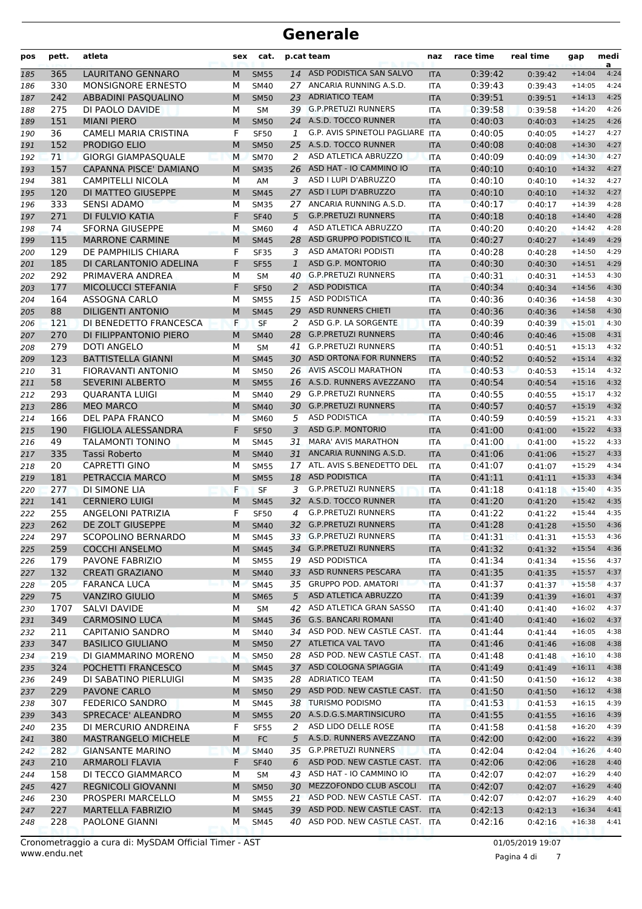| pos | pett. | atleta                     | sex | cat.        |                | p.cat team                       | naz        | race time | real time | gap      | medi<br>a |
|-----|-------|----------------------------|-----|-------------|----------------|----------------------------------|------------|-----------|-----------|----------|-----------|
| 185 | 365   | LAURITANO GENNARO          | M   | <b>SM55</b> | 14             | ASD PODISTICA SAN SALVO          | <b>ITA</b> | 0:39:42   | 0:39:42   | $+14:04$ | 4:24      |
| 186 | 330   | <b>MONSIGNORE ERNESTO</b>  | М   | <b>SM40</b> | 27             | ANCARIA RUNNING A.S.D.           | ITA        | 0:39:43   | 0:39:43   | $+14:05$ | 4:24      |
| 187 | 242   | ABBADINI PASQUALINO        | M   | <b>SM50</b> | 23             | <b>ADRIATICO TEAM</b>            | <b>ITA</b> | 0:39:51   | 0:39:51   | $+14:13$ | 4:25      |
| 188 | 275   | DI PAOLO DAVIDE            | М   | <b>SM</b>   |                | 39 G.P.PRETUZI RUNNERS           | <b>ITA</b> | 0:39:58   | 0:39:58   | $+14:20$ | 4:26      |
| 189 | 151   | <b>MIANI PIERO</b>         | M   | <b>SM50</b> |                | 24 A.S.D. TOCCO RUNNER           | <b>ITA</b> | 0:40:03   | 0:40:03   | $+14:25$ | 4:26      |
| 190 | 36    | CAMELI MARIA CRISTINA      | F   | <b>SF50</b> | 1              | G.P. AVIS SPINETOLI PAGLIARE ITA |            | 0:40:05   | 0:40:05   | $+14:27$ | 4:27      |
| 191 | 152   | PRODIGO ELIO               | M   | <b>SM50</b> | 25             | A.S.D. TOCCO RUNNER              | <b>ITA</b> | 0:40:08   | 0:40:08   | $+14:30$ | 4:27      |
| 192 | 71    | <b>GIORGI GIAMPASQUALE</b> | М   | <b>SM70</b> | 2              | ASD ATLETICA ABRUZZO             | <b>ITA</b> | 0:40:09   | 0:40:09   | $+14:30$ | 4:27      |
| 193 | 157   | CAPANNA PISCE' DAMIANO     | M   | <b>SM35</b> | 26             | ASD HAT - IO CAMMINO IO          | <b>ITA</b> | 0:40:10   | 0:40:10   | $+14:32$ | 4:27      |
| 194 | 381   | <b>CAMPITELLI NICOLA</b>   | М   | AM          | 3              | ASD I LUPI D'ABRUZZO             | ITA        | 0:40:10   | 0:40:10   | $+14:32$ | 4:27      |
| 195 | 120   | DI MATTEO GIUSEPPE         | M   | <b>SM45</b> | 27             | ASD I LUPI D'ABRUZZO             | <b>ITA</b> | 0:40:10   | 0:40:10   | $+14:32$ | 4:27      |
| 196 | 333   | <b>SENSI ADAMO</b>         | М   | <b>SM35</b> | 27             | ANCARIA RUNNING A.S.D.           | <b>ITA</b> | 0:40:17   | 0:40:17   | $+14:39$ | 4:28      |
| 197 | 271   | DI FULVIO KATIA            | F   | <b>SF40</b> | 5              | <b>G.P.PRETUZI RUNNERS</b>       | <b>ITA</b> | 0:40:18   | 0:40:18   | $+14:40$ | 4:28      |
| 198 | 74    | <b>SFORNA GIUSEPPE</b>     | М   | <b>SM60</b> | 4              | ASD ATLETICA ABRUZZO             | <b>ITA</b> | 0:40:20   | 0:40:20   | $+14:42$ | 4:28      |
| 199 | 115   | <b>MARRONE CARMINE</b>     | M   | <b>SM45</b> | 28             | ASD GRUPPO PODISTICO IL          | <b>ITA</b> | 0:40:27   | 0:40:27   | $+14:49$ | 4:29      |
| 200 | 129   | DE PAMPHILIS CHIARA        | F   | <b>SF35</b> | 3              | <b>ASD AMATORI PODISTI</b>       | <b>ITA</b> | 0:40:28   | 0:40:28   | $+14:50$ | 4:29      |
| 201 | 185   | DI CARLANTONIO ADELINA     | F   | <b>SF55</b> | $\mathbf{1}$   | <b>ASD G.P. MONTORIO</b>         | <b>ITA</b> | 0:40:30   | 0:40:30   | $+14:51$ | 4:29      |
| 202 | 292   | PRIMAVERA ANDREA           | М   | <b>SM</b>   | 40             | <b>G.P.PRETUZI RUNNERS</b>       | <b>ITA</b> | 0:40:31   | 0:40:31   | $+14:53$ | 4:30      |
| 203 | 177   | MICOLUCCI STEFANIA         | F   | <b>SF50</b> | $\overline{a}$ | <b>ASD PODISTICA</b>             | <b>ITA</b> | 0:40:34   | 0:40:34   | $+14:56$ | 4:30      |
| 204 | 164   | <b>ASSOGNA CARLO</b>       | М   | <b>SM55</b> | 15             | <b>ASD PODISTICA</b>             | <b>ITA</b> | 0:40:36   | 0:40:36   | $+14:58$ | 4:30      |
| 205 | 88    | <b>DILIGENTI ANTONIO</b>   | M   | <b>SM45</b> | 29             | <b>ASD RUNNERS CHIETI</b>        | <b>ITA</b> | 0:40:36   | 0:40:36   | $+14:58$ | 4:30      |
| 206 | 121   | DI BENEDETTO FRANCESCA     | F   | <b>SF</b>   | 2              | ASD G.P. LA SORGENTE             | <b>ITA</b> | 0:40:39   | 0:40:39   | $+15:01$ | 4:30      |
| 207 | 270   | DI FILIPPANTONIO PIERO     | M   | <b>SM40</b> | 28             | <b>G.P.PRETUZI RUNNERS</b>       | <b>ITA</b> | 0:40:46   | 0:40:46   | $+15:08$ | 4:31      |
| 208 | 279   | DOTI ANGELO                | М   | <b>SM</b>   | 41             | <b>G.P.PRETUZI RUNNERS</b>       | <b>ITA</b> | 0:40:51   | 0:40:51   | $+15:13$ | 4:32      |
| 209 | 123   | <b>BATTISTELLA GIANNI</b>  | M   | <b>SM45</b> |                | 30 ASD ORTONA FOR RUNNERS        | <b>ITA</b> | 0:40:52   | 0:40:52   | $+15:14$ | 4:32      |
| 210 | 31    | FIORAVANTI ANTONIO         | М   | <b>SM50</b> |                | 26 AVIS ASCOLI MARATHON          | <b>ITA</b> | 0:40:53   | 0:40:53   | $+15:14$ | 4:32      |
| 211 | 58    | <b>SEVERINI ALBERTO</b>    | M   | <b>SM55</b> |                | 16 A.S.D. RUNNERS AVEZZANO       | <b>ITA</b> | 0:40:54   | 0:40:54   | $+15:16$ | 4:32      |
| 212 | 293   | <b>QUARANTA LUIGI</b>      | М   | <b>SM40</b> | 29             | <b>G.P.PRETUZI RUNNERS</b>       | <b>ITA</b> | 0:40:55   | 0:40:55   | $+15:17$ | 4:32      |
| 213 | 286   | <b>MEO MARCO</b>           | M   | <b>SM40</b> |                | 30 G.P.PRETUZI RUNNERS           | <b>ITA</b> | 0:40:57   | 0:40:57   | $+15:19$ | 4:32      |
| 214 | 166   | DEL PAPA FRANCO            | M   | <b>SM60</b> | 5              | <b>ASD PODISTICA</b>             | <b>ITA</b> | 0:40:59   | 0:40:59   | $+15:21$ | 4:33      |
| 215 | 190   | FIGLIOLA ALESSANDRA        | F   | <b>SF50</b> | 3              | ASD G.P. MONTORIO                | <b>ITA</b> | 0:41:00   | 0:41:00   | $+15:22$ | 4:33      |
| 216 | 49    | TALAMONTI TONINO           | М   | <b>SM45</b> | 31             | <b>MARA' AVIS MARATHON</b>       | <b>ITA</b> | 0:41:00   | 0:41:00   | $+15:22$ | 4:33      |
| 217 | 335   | Tassi Roberto              | M   | <b>SM40</b> | 31             | ANCARIA RUNNING A.S.D.           | <b>ITA</b> | 0:41:06   | 0:41:06   | $+15:27$ | 4:33      |
| 218 | 20    | <b>CAPRETTI GINO</b>       | М   | <b>SM55</b> | 17             | ATL. AVIS S.BENEDETTO DEL        | <b>ITA</b> | 0:41:07   | 0:41:07   | $+15:29$ | 4:34      |
| 219 | 181   | PETRACCIA MARCO            | M   | <b>SM55</b> | 18             | <b>ASD PODISTICA</b>             | <b>ITA</b> | 0:41:11   | 0:41:11   | $+15:33$ | 4:34      |
| 220 | 277   | DI SIMONE LIA              | F   | <b>SF</b>   | 3              | <b>G.P.PRETUZI RUNNERS</b>       | <b>ITA</b> | 0:41:18   | 0:41:18   | $+15:40$ | 4:35      |
| 221 | 141   | <b>CERNIERO LUIGI</b>      | M   | <b>SM45</b> |                | 32 A.S.D. TOCCO RUNNER           | <b>ITA</b> | 0:41:20   | 0:41:20   | $+15:42$ | 4:35      |
| 222 | 255   | <b>ANGELONI PATRIZIA</b>   | F   | <b>SF50</b> | 4              | <b>G.P.PRETUZI RUNNERS</b>       | ITA        | 0:41:22   | 0:41:22   | $+15:44$ | 4:35      |
| 223 | 262   | DE ZOLT GIUSEPPE           | M   | <b>SM40</b> |                | 32 G.P.PRETUZI RUNNERS           | <b>ITA</b> | 0:41:28   | 0:41:28   | $+15:50$ | 4:36      |
| 224 | 297   | SCOPOLINO BERNARDO         | м   | <b>SM45</b> |                | 33 G.P.PRETUZI RUNNERS           | ITA        | 0:41:31   | 0:41:31   | $+15:53$ | 4:36      |
| 225 | 259   | <b>COCCHI ANSELMO</b>      | M   | <b>SM45</b> |                | 34 G.P.PRETUZI RUNNERS           | <b>ITA</b> | 0:41:32   | 0:41:32   | $+15:54$ | 4:36      |
| 226 | 179   | PAVONE FABRIZIO            | М   | <b>SM55</b> |                | 19 ASD PODISTICA                 | <b>ITA</b> | 0:41:34   | 0:41:34   | $+15:56$ | 4:37      |
| 227 | 132   | <b>CREATI GRAZIANO</b>     | M   | <b>SM40</b> |                | 33 ASD RUNNERS PESCARA           | <b>ITA</b> | 0:41:35   | 0:41:35   | $+15:57$ | 4:37      |
| 228 | 205   | <b>FARANCA LUCA</b>        | M   | <b>SM45</b> |                | 35 GRUPPO POD. AMATORI           | <b>ITA</b> | 0:41:37   | 0:41:37   | $+15:58$ | 4:37      |
| 229 | 75    | <b>VANZIRO GIULIO</b>      | M   | <b>SM65</b> | 5              | ASD ATLETICA ABRUZZO             | <b>ITA</b> | 0:41:39   | 0:41:39   | $+16:01$ | 4:37      |
| 230 | 1707  | <b>SALVI DAVIDE</b>        | М   | SM          | 42             | ASD ATLETICA GRAN SASSO          | ITA        | 0:41:40   | 0:41:40   | $+16:02$ | 4:37      |
| 231 | 349   | <b>CARMOSINO LUCA</b>      | M   | <b>SM45</b> |                | 36 G.S. BANCARI ROMANI           | <b>ITA</b> | 0:41:40   | 0:41:40   | $+16:02$ | 4:37      |
| 232 | 211   | <b>CAPITANIO SANDRO</b>    | М   | SM40        |                | 34 ASD POD. NEW CASTLE CAST.     | <b>ITA</b> | 0:41:44   | 0:41:44   | $+16:05$ | 4:38      |
| 233 | 347   | <b>BASILICO GIULIANO</b>   | M   | <b>SM50</b> |                | 27 ATLETICA VAL TAVO             | <b>ITA</b> | 0:41:46   | 0:41:46   | $+16:08$ | 4:38      |
| 234 | 219   | DI GIAMMARINO MORENO       | м   | <b>SM50</b> |                | 28 ASD POD. NEW CASTLE CAST. ITA |            | 0:41:48   | 0:41:48   | $+16:10$ | 4:38      |
| 235 | 324   | POCHETTI FRANCESCO         | M   | <b>SM45</b> |                | 37 ASD COLOGNA SPIAGGIA          | <b>ITA</b> | 0:41:49   | 0:41:49   | $+16:11$ | 4:38      |
| 236 | 249   | DI SABATINO PIERLUIGI      | м   | <b>SM35</b> |                | 28 ADRIATICO TEAM                | ITA        | 0:41:50   | 0:41:50   | $+16:12$ | 4:38      |
| 237 | 229   | PAVONE CARLO               | M   | <b>SM50</b> |                | 29 ASD POD. NEW CASTLE CAST.     | <b>ITA</b> | 0:41:50   | 0:41:50   | $+16:12$ | 4:38      |
| 238 | 307   | <b>FEDERICO SANDRO</b>     | М   | SM45        |                | 38 TURISMO PODISMO               | ITA        | 0:41:53   | 0:41:53   | $+16:15$ | 4:39      |
| 239 | 343   | SPRECACE' ALEANDRO         | M   | <b>SM55</b> |                | 20 A.S.D.G.S.MARTINSICURO        | <b>ITA</b> | 0:41:55   | 0:41:55   | $+16:16$ | 4:39      |
| 240 | 235   | DI MERCURIO ANDREINA       | F   | <b>SF55</b> | 2              | ASD LIDO DELLE ROSE              | ITA        | 0:41:58   | 0:41:58   | $+16:20$ | 4:39      |
| 241 | 380   | <b>MASTRANGELO MICHELE</b> | M   | FC          | 5              | A.S.D. RUNNERS AVEZZANO          | <b>ITA</b> | 0:42:00   | 0:42:00   | $+16:22$ | 4:39      |
| 242 | 282   | <b>GIANSANTE MARINO</b>    | М   | <b>SM40</b> |                | 35 G.P.PRETUZI RUNNERS           | <b>ITA</b> | 0:42:04   | 0:42:04   | $+16:26$ | 4:40      |
| 243 | 210   | <b>ARMAROLI FLAVIA</b>     | F   | <b>SF40</b> | 6              | ASD POD. NEW CASTLE CAST.        | <b>ITA</b> | 0:42:06   | 0:42:06   | $+16:28$ | 4:40      |
| 244 | 158   | DI TECCO GIAMMARCO         | м   | SM          |                | 43 ASD HAT - IO CAMMINO IO       | ITA        | 0:42:07   | 0:42:07   | $+16:29$ | 4:40      |
| 245 | 427   | REGNICOLI GIOVANNI         | M   | <b>SM50</b> |                | 30 MEZZOFONDO CLUB ASCOLI        | <b>ITA</b> | 0:42:07   | 0:42:07   | $+16:29$ | 4:40      |
| 246 | 230   | PROSPERI MARCELLO          | М   | <b>SM55</b> |                | 21 ASD POD. NEW CASTLE CAST. ITA |            | 0:42:07   | 0:42:07   | $+16:29$ | 4:40      |
| 247 | 227   | <b>MARTELLA FABRIZIO</b>   | M   | <b>SM45</b> |                | 39 ASD POD. NEW CASTLE CAST.     | <b>ITA</b> | 0:42:13   | 0:42:13   | $+16:34$ | 4:41      |
| 248 | 228   | PAOLONE GIANNI             | м   | <b>SM45</b> |                | 40 ASD POD. NEW CASTLE CAST.     | ITA        | 0:42:16   | 0:42:16   | $+16:38$ | 4:41      |

Pagina 4 di 7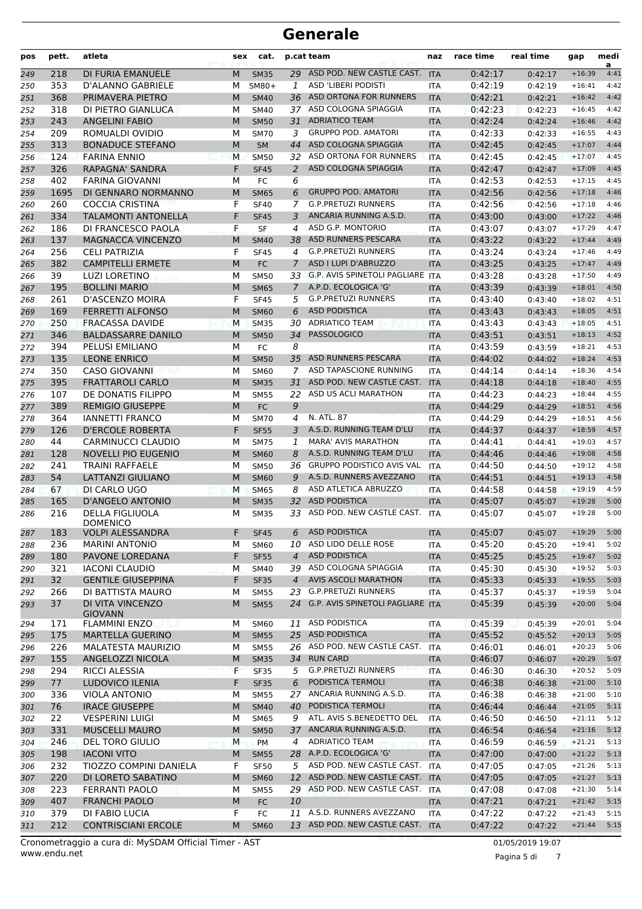| pos | pett. | atleta                                        | sex | cat.        |                | p.cat team                          | naz        | race time | real time | gap      | medi<br>a |
|-----|-------|-----------------------------------------------|-----|-------------|----------------|-------------------------------------|------------|-----------|-----------|----------|-----------|
| 249 | 218   | DI FURIA EMANUELE                             | M   | <b>SM35</b> | 29             | ASD POD. NEW CASTLE CAST.           | <b>ITA</b> | 0:42:17   | 0:42:17   | $+16:39$ | 4:41      |
| 250 | 353   | D'ALANNO GABRIELE                             | М   | $SM80+$     | $\mathbf{1}$   | ASD 'LIBERI PODISTI                 | <b>ITA</b> | 0:42:19   | 0:42:19   | $+16:41$ | 4:42      |
| 251 | 368   | PRIMAVERA PIETRO                              | M   | <b>SM40</b> | 36             | ASD ORTONA FOR RUNNERS              | <b>ITA</b> | 0:42:21   | 0:42:21   | $+16:42$ | 4:42      |
| 252 | 318   | DI PIETRO GIANLUCA                            | м   | <b>SM40</b> | 37             | ASD COLOGNA SPIAGGIA                | ITA        | 0:42:23   | 0:42:23   | $+16:45$ | 4:42      |
| 253 | 243   | <b>ANGELINI FABIO</b>                         | M   | <b>SM50</b> | 31             | <b>ADRIATICO TEAM</b>               | <b>ITA</b> | 0:42:24   | 0:42:24   | $+16:46$ | 4:42      |
| 254 | 209   | ROMUALDI OVIDIO                               | М   | <b>SM70</b> | 3              | <b>GRUPPO POD. AMATORI</b>          | <b>ITA</b> | 0:42:33   | 0:42:33   | $+16:55$ | 4:43      |
| 255 | 313   | <b>BONADUCE STEFANO</b>                       | M   | <b>SM</b>   | 44             | ASD COLOGNA SPIAGGIA                | <b>ITA</b> | 0:42:45   | 0:42:45   | $+17:07$ | 4:44      |
| 256 | 124   | <b>FARINA ENNIO</b>                           | M   | <b>SM50</b> |                | 32 ASD ORTONA FOR RUNNERS           | <b>ITA</b> | 0:42:45   | 0:42:45   | $+17:07$ | 4:45      |
| 257 | 326   | RAPAGNA' SANDRA                               | F   | <b>SF45</b> | 2              | ASD COLOGNA SPIAGGIA                | <b>ITA</b> | 0:42:47   | 0:42:47   | $+17:09$ | 4:45      |
| 258 | 402   | <b>FARINA GIOVANNI</b>                        | М   | FC          | 6              |                                     | ITA        | 0:42:53   | 0:42:53   | $+17:15$ | 4:45      |
| 259 | 1695  | DI GENNARO NORMANNO                           | M   | <b>SM65</b> | 6              | <b>GRUPPO POD. AMATORI</b>          | <b>ITA</b> | 0:42:56   | 0:42:56   | $+17:18$ | 4:46      |
| 260 | 260   | COCCIA CRISTINA                               | F   | <b>SF40</b> | 7              | <b>G.P.PRETUZI RUNNERS</b>          | <b>ITA</b> | 0:42:56   | 0:42:56   | $+17:18$ | 4:46      |
| 261 | 334   | <b>TALAMONTI ANTONELLA</b>                    | F   | <b>SF45</b> | 3              | ANCARIA RUNNING A.S.D.              | <b>ITA</b> | 0:43:00   | 0:43:00   | $+17:22$ | 4:46      |
| 262 | 186   | DI FRANCESCO PAOLA                            | F   | <b>SF</b>   | 4              | ASD G.P. MONTORIO                   | <b>ITA</b> | 0:43:07   | 0:43:07   | $+17:29$ | 4:47      |
| 263 | 137   | <b>MAGNACCA VINCENZO</b>                      | M   | <b>SM40</b> | 38             | ASD RUNNERS PESCARA                 | <b>ITA</b> | 0:43:22   | 0:43:22   | $+17:44$ | 4:49      |
| 264 | 256   | <b>CELI PATRIZIA</b>                          | F   | <b>SF45</b> | 4              | <b>G.P.PRETUZI RUNNERS</b>          | ITA        | 0:43:24   | 0:43:24   | $+17:46$ | 4:49      |
| 265 | 382   | <b>CAMPITELLI ERMETE</b>                      | M   | <b>FC</b>   | 7              | ASD I LUPI D'ABRUZZO                | <b>ITA</b> | 0:43:25   | 0:43:25   | $+17:47$ | 4:49      |
| 266 | 39    | <b>LUZI LORETINO</b>                          | М   | <b>SM50</b> |                | 33 G.P. AVIS SPINETOLI PAGLIARE ITA |            | 0:43:28   | 0:43:28   | $+17:50$ | 4:49      |
| 267 | 195   | <b>BOLLINI MARIO</b>                          | M   | <b>SM65</b> | $\overline{7}$ | A.P.D. ECOLOGICA 'G'                | <b>ITA</b> | 0:43:39   | 0:43:39   | $+18:01$ | 4:50      |
| 268 | 261   | D'ASCENZO MOIRA                               | F   | <b>SF45</b> | 5              | <b>G.P.PRETUZI RUNNERS</b>          | <b>ITA</b> | 0:43:40   | 0:43:40   | $+18:02$ | 4:51      |
| 269 | 169   | <b>FERRETTI ALFONSO</b>                       | M   | <b>SM60</b> | 6              | <b>ASD PODISTICA</b>                | <b>ITA</b> | 0:43:43   | 0:43:43   | $+18:05$ | 4:51      |
| 270 | 250   | <b>FRACASSA DAVIDE</b>                        | M   | <b>SM35</b> | 30             | <b>ADRIATICO TEAM</b>               | <b>ITA</b> | 0:43:43   | 0:43:43   | $+18:05$ | 4:51      |
| 271 | 346   | <b>BALDASSARRE DANILO</b>                     | M   | <b>SM50</b> | 34             | <b>PASSOLOGICO</b>                  | <b>ITA</b> | 0:43:51   | 0:43:51   | $+18:13$ | 4:52      |
| 272 | 394   | <b>PELUSI EMILIANO</b>                        | М   | FC          | 8              |                                     | <b>ITA</b> | 0:43:59   | 0:43:59   | $+18:21$ | 4:53      |
| 273 | 135   | <b>LEONE ENRICO</b>                           | M   | <b>SM50</b> | 35             | ASD RUNNERS PESCARA                 | <b>ITA</b> | 0:44:02   | 0:44:02   | $+18:24$ | 4:53      |
| 274 | 350   | <b>CASO GIOVANNI</b>                          | М   | SM60        | $\overline{7}$ | ASD TAPASCIONE RUNNING              | <b>ITA</b> | 0:44:14   | 0:44:14   | $+18:36$ | 4:54      |
| 275 | 395   | <b>FRATTAROLI CARLO</b>                       | M   | <b>SM35</b> | 31             | ASD POD. NEW CASTLE CAST.           | <b>ITA</b> | 0:44:18   | 0:44:18   | $+18:40$ | 4:55      |
| 276 | 107   | DE DONATIS FILIPPO                            | м   | <b>SM55</b> | 22             | ASD US ACLI MARATHON                | <b>ITA</b> | 0:44:23   | 0:44:23   | $+18:44$ | 4:55      |
| 277 | 389   | <b>REMIGIO GIUSEPPE</b>                       | M   | <b>FC</b>   | 9              |                                     | <b>ITA</b> | 0:44:29   | 0:44:29   | $+18:51$ | 4:56      |
| 278 | 364   | <b>IANNETTI FRANCO</b>                        | M   | <b>SM70</b> | 4              | N. ATL. 87                          | <b>ITA</b> | 0:44:29   | 0:44:29   | $+18:51$ | 4:56      |
| 279 | 126   | <b>D'ERCOLE ROBERTA</b>                       | F   | <b>SF55</b> | 3              | A.S.D. RUNNING TEAM D'LU            | <b>ITA</b> | 0:44:37   | 0:44:37   | $+18:59$ | 4:57      |
| 280 | 44    | <b>CARMINUCCI CLAUDIO</b>                     | М   | <b>SM75</b> | 1              | <b>MARA' AVIS MARATHON</b>          | <b>ITA</b> | 0:44:41   | 0:44:41   | $+19:03$ | 4:57      |
| 281 | 128   | <b>NOVELLI PIO EUGENIO</b>                    | M   | <b>SM60</b> | 8              | A.S.D. RUNNING TEAM D'LU            | <b>ITA</b> | 0:44:46   | 0:44:46   | $+19:08$ | 4:58      |
| 282 | 241   | <b>TRAINI RAFFAELE</b>                        | м   | <b>SM50</b> | 36             | <b>GRUPPO PODISTICO AVIS VAL</b>    | <b>ITA</b> | 0:44:50   | 0:44:50   | $+19:12$ | 4:58      |
| 283 | 54    | <b>LATTANZI GIULIANO</b>                      | M   | <b>SM60</b> | 9              | A.S.D. RUNNERS AVEZZANO             | <b>ITA</b> | 0:44:51   | 0:44:51   | $+19:13$ | 4:58      |
| 284 | 67    | DI CARLO UGO                                  | M   | <b>SM65</b> | 8              | ASD ATLETICA ABRUZZO                | <b>ITA</b> | 0:44:58   | 0:44:58   | $+19:19$ | 4:59      |
| 285 | 165   | <b>D'ANGELO ANTONIO</b>                       | M   | <b>SM35</b> | 32             | <b>ASD PODISTICA</b>                | <b>ITA</b> | 0:45:07   | 0:45:07   | $+19:28$ | 5:00      |
| 286 | 216   | <b>DELLA FIGLIUOLA</b>                        | М   | <b>SM35</b> | 33             | ASD POD. NEW CASTLE CAST.           | <b>ITA</b> | 0:45:07   | 0:45:07   | $+19:28$ | 5:00      |
|     |       | <b>DOMENICO</b>                               |     |             |                |                                     |            |           |           |          |           |
| 287 | 183   | <b>VOLPI ALESSANDRA</b>                       | F   | <b>SF45</b> |                | 6 ASD PODISTICA                     | <b>ITA</b> | 0:45:07   | 0:45:07   | $+19:29$ | 5:00      |
| 288 | 236   | <b>MARINI ANTONIO</b>                         | м   | <b>SM60</b> |                | 10 ASD LIDO DELLE ROSE              | ITA        | 0:45:20   | 0:45:20   | $+19:41$ | 5:02      |
| 289 | 180   | PAVONE LOREDANA                               | F   | <b>SF55</b> | $\overline{4}$ | <b>ASD PODISTICA</b>                | <b>ITA</b> | 0:45:25   | 0:45:25   | $+19:47$ | 5:02      |
| 290 | 321   | <b>IACONI CLAUDIO</b>                         | М   | <b>SM40</b> |                | 39 ASD COLOGNA SPIAGGIA             | ITA        | 0:45:30   | 0:45:30   | $+19:52$ | 5:03      |
| 291 | 32    | <b>GENTILE GIUSEPPINA</b>                     | F   | <b>SF35</b> | $\overline{4}$ | AVIS ASCOLI MARATHON                | <b>ITA</b> | 0:45:33   | 0:45:33   | $+19:55$ | 5:03      |
| 292 | 266   | DI BATTISTA MAURO                             | М   | <b>SM55</b> |                | 23 G.P.PRETUZI RUNNERS              | <b>ITA</b> | 0:45:37   | 0:45:37   | $+19:59$ | 5:04      |
| 293 | 37    | DI VITA VINCENZO                              | M   | <b>SM55</b> |                | 24 G.P. AVIS SPINETOLI PAGLIARE ITA |            | 0:45:39   | 0:45:39   | $+20:00$ | 5:04      |
|     |       | <b>GIOVANN</b>                                |     | <b>SM60</b> |                | 11 ASD PODISTICA                    |            | 0:45:39   |           | $+20:01$ | 5:04      |
| 294 | 171   | <b>FLAMMINI ENZO</b>                          | м   |             |                | 25 ASD PODISTICA                    | <b>ITA</b> |           | 0:45:39   | $+20:13$ | 5:05      |
| 295 | 175   | <b>MARTELLA GUERINO</b>                       | M   | <b>SM55</b> |                | 26 ASD POD. NEW CASTLE CAST.        | <b>ITA</b> | 0:45:52   | 0:45:52   | $+20:23$ |           |
| 296 | 226   | <b>MALATESTA MAURIZIO</b><br>ANGELOZZI NICOLA | м   | <b>SM55</b> |                | 34 RUN CARD                         | <b>ITA</b> | 0:46:01   | 0:46:01   |          | 5:06      |
| 297 | 155   |                                               | M   | <b>SM35</b> |                | <b>G.P.PRETUZI RUNNERS</b>          | <b>ITA</b> | 0:46:07   | 0:46:07   | $+20:29$ | 5:07      |
| 298 | 294   | <b>RICCI ALESSIA</b>                          | F   | <b>SF35</b> | 5              |                                     | <b>ITA</b> | 0:46:30   | 0:46:30   | $+20:52$ | 5:09      |
| 299 | 77    | LUDOVICO ILENIA                               | F   | <b>SF35</b> | 6              | PODISTICA TERMOLI                   | <b>ITA</b> | 0:46:38   | 0:46:38   | $+21:00$ | 5:10      |
| 300 | 336   | <b>VIOLA ANTONIO</b>                          | М   | <b>SM55</b> |                | 27 ANCARIA RUNNING A.S.D.           | <b>ITA</b> | 0:46:38   | 0:46:38   | $+21:00$ | 5:10      |
| 301 | 76    | <b>IRACE GIUSEPPE</b>                         | M   | <b>SM40</b> |                | 40 PODISTICA TERMOLI                | <b>ITA</b> | 0:46:44   | 0:46:44   | $+21:05$ | 5:11      |
| 302 | 22    | <b>VESPERINI LUIGI</b>                        | м   | <b>SM65</b> | 9              | ATL. AVIS S.BENEDETTO DEL           | <b>ITA</b> | 0:46:50   | 0:46:50   | $+21:11$ | 5:12      |
| 303 | 331   | <b>MUSCELLI MAURO</b>                         | M   | <b>SM50</b> | 37             | ANCARIA RUNNING A.S.D.              | <b>ITA</b> | 0:46:54   | 0:46:54   | $+21:16$ | 5:12      |
| 304 | 246   | <b>DEL TORO GIULIO</b>                        | М   | <b>PM</b>   | 4              | <b>ADRIATICO TEAM</b>               | <b>ITA</b> | 0:46:59   | 0:46:59   | $+21:21$ | 5:13      |
| 305 | 198   | <b>IACONI VITO</b>                            | M   | <b>SM55</b> |                | 28 A.P.D. ECOLOGICA 'G'             | <b>ITA</b> | 0:47:00   | 0:47:00   | $+21:22$ | 5:13      |
| 306 | 232   | TIOZZO COMPINI DANIELA                        | F   | <b>SF50</b> |                | 5 ASD POD. NEW CASTLE CAST. ITA     |            | 0:47:05   | 0:47:05   | $+21:26$ | 5:13      |
| 307 | 220   | DI LORETO SABATINO                            | M   | <b>SM60</b> |                | 12 ASD POD. NEW CASTLE CAST.        | <b>ITA</b> | 0:47:05   | 0:47:05   | $+21:27$ | 5:13      |
| 308 | 223   | FERRANTI PAOLO                                | м   | <b>SM55</b> |                | 29 ASD POD. NEW CASTLE CAST.        | ITA        | 0:47:08   | 0:47:08   | $+21:30$ | 5:14      |
| 309 | 407   | <b>FRANCHI PAOLO</b>                          | M   | FC          | 10             |                                     | <b>ITA</b> | 0:47:21   | 0:47:21   | $+21:42$ | 5:15      |
| 310 | 379   | DI FABIO LUCIA                                | F   | FC          |                | 11 A.S.D. RUNNERS AVEZZANO          | ITA        | 0:47:22   | 0:47:22   | $+21:43$ | 5:15      |
| 311 | 212   | <b>CONTRISCIANI ERCOLE</b>                    | M   | <b>SM60</b> |                | 13 ASD POD. NEW CASTLE CAST. ITA    |            | 0:47:22   | 0:47:22   | $+21:44$ | 5:15      |

Pagina 5 di 7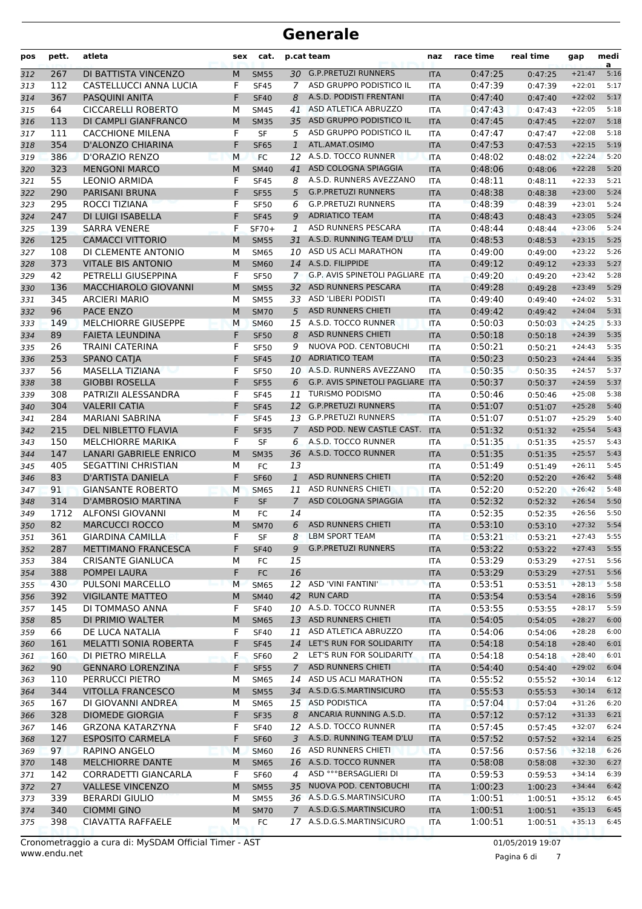| pos        | pett.     | atleta                                           | sex    | cat.                       |                | p.cat team                                       | naz                      | race time          | real time          | gap                  | medi<br>a    |
|------------|-----------|--------------------------------------------------|--------|----------------------------|----------------|--------------------------------------------------|--------------------------|--------------------|--------------------|----------------------|--------------|
| 312        | 267       | DI BATTISTA VINCENZO                             | M      | <b>SM55</b>                |                | 30 G.P.PRETUZI RUNNERS                           | <b>ITA</b>               | 0:47:25            | 0:47:25            | $+21:47$             | 5:16         |
| 313        | 112       | CASTELLUCCI ANNA LUCIA                           | F      | <b>SF45</b>                | $\mathcal{I}$  | ASD GRUPPO PODISTICO IL                          | <b>ITA</b>               | 0:47:39            | 0:47:39            | $+22:01$             | 5:17         |
| 314        | 367       | PASQUINI ANITA                                   | F      | <b>SF40</b>                | 8              | A.S.D. PODISTI FRENTANI                          | <b>ITA</b>               | 0:47:40            | 0:47:40            | $+22:02$             | 5:17         |
| 315        | 64        | <b>CICCARELLI ROBERTO</b>                        | М      | <b>SM45</b>                | 41             | ASD ATLETICA ABRUZZO                             | ITA                      | 0:47:43            | 0:47:43            | $+22:05$             | 5:18         |
| 316        | 113       | DI CAMPLI GIANFRANCO                             | M      | <b>SM35</b>                | 35             | ASD GRUPPO PODISTICO IL                          | <b>ITA</b>               | 0:47:45            | 0:47:45            | $+22:07$             | 5:18         |
| 317        | 111       | <b>CACCHIONE MILENA</b>                          | F      | <b>SF</b>                  | 5              | ASD GRUPPO PODISTICO IL                          | <b>ITA</b>               | 0:47:47            | 0:47:47            | $+22:08$             | 5:18         |
| 318        | 354       | D'ALONZO CHIARINA                                | F      | <b>SF65</b>                | $\mathbf{1}$   | ATL.AMAT.OSIMO                                   | <b>ITA</b>               | 0:47:53            | 0:47:53            | $+22:15$             | 5:19         |
| 319        | 386       | <b>D'ORAZIO RENZO</b>                            | M      | <b>FC</b>                  |                | 12 A.S.D. TOCCO RUNNER                           | <b>ITA</b>               | 0:48:02            | 0:48:02            | $+22:24$             | 5:20         |
| 320        | 323       | <b>MENGONI MARCO</b>                             | M      | <b>SM40</b>                | 41             | ASD COLOGNA SPIAGGIA                             | <b>ITA</b>               | 0:48:06            | 0:48:06            | $+22:28$             | 5:20         |
| 321        | 55        | <b>LEONIO ARMIDA</b>                             | F      | <b>SF45</b>                | 8              | A.S.D. RUNNERS AVEZZANO                          | <b>ITA</b>               | 0:48:11            | 0:48:11            | $+22:33$             | 5:21         |
| 322        | 290       | PARISANI BRUNA                                   | F      | <b>SF55</b>                | 5              | <b>G.P.PRETUZI RUNNERS</b>                       | <b>ITA</b>               | 0:48:38            | 0:48:38            | $+23:00$             | 5:24         |
| 323        | 295       | ROCCI TIZIANA                                    | F      | <b>SF50</b>                | 6              | <b>G.P.PRETUZI RUNNERS</b>                       | <b>ITA</b>               | 0:48:39            | 0:48:39            | $+23:01$             | 5:24         |
| 324        | 247       | DI LUIGI ISABELLA                                | F      | <b>SF45</b>                | 9              | <b>ADRIATICO TEAM</b>                            | <b>ITA</b>               | 0:48:43            | 0:48:43            | $+23:05$             | 5:24         |
| 325        | 139       | <b>SARRA VENERE</b>                              | F      | $SF70+$                    | 1              | ASD RUNNERS PESCARA                              | <b>ITA</b>               | 0:48:44            | 0:48:44            | $+23:06$             | 5:24         |
| 326        | 125       | <b>CAMACCI VITTORIO</b>                          | M      | <b>SM55</b>                | 31             | A.S.D. RUNNING TEAM D'LU                         | <b>ITA</b>               | 0:48:53            | 0:48:53            | $+23:15$             | 5:25         |
| 327        | 108       | DI CLEMENTE ANTONIO                              | М      | <b>SM65</b>                | 10             | ASD US ACLI MARATHON                             | ITA                      | 0:49:00            | 0:49:00            | $+23:22$             | 5:26         |
| 328        | 373       | <b>VITALE BIS ANTONIO</b>                        | M      | <b>SM60</b>                |                | 14 A.S.D. FILIPPIDE                              | <b>ITA</b>               | 0:49:12            | 0:49:12            | $+23:33$             | 5:27         |
| 329        | 42        | PETRELLI GIUSEPPINA                              | F      | <b>SF50</b>                | $7^{\circ}$    | <b>G.P. AVIS SPINETOLI PAGLIARE</b>              | <b>ITA</b>               | 0:49:20            | 0:49:20            | $+23:42$             | 5:28         |
| 330        | 136       | MACCHIAROLO GIOVANNI                             | M      | <b>SM55</b>                | 32             | ASD RUNNERS PESCARA                              | <b>ITA</b>               | 0:49:28            | 0:49:28            | $+23:49$             | 5:29         |
| 331        | 345       | <b>ARCIERI MARIO</b>                             | М      | <b>SM55</b>                |                | 33 ASD 'LIBERI PODISTI                           | <b>ITA</b>               | 0:49:40            | 0:49:40            | $+24:02$             | 5:31         |
| 332        | 96        | <b>PACE ENZO</b>                                 | M      | <b>SM70</b>                | 5              | <b>ASD RUNNERS CHIETI</b><br>A.S.D. TOCCO RUNNER | <b>ITA</b>               | 0:49:42            | 0:49:42            | $+24:04$             | 5:31         |
| 333        | 149       | MELCHIORRE GIUSEPPE                              | M      | <b>SM60</b>                | 15             | <b>ASD RUNNERS CHIETI</b>                        | <b>ITA</b>               | 0:50:03            | 0:50:03            | $+24:25$             | 5:33         |
| 334        | 89        | <b>FAIETA LEUNDINA</b><br><b>TRAINI CATERINA</b> | F<br>F | <b>SF50</b>                | 8              | NUOVA POD. CENTOBUCHI                            | <b>ITA</b>               | 0:50:18<br>0:50:21 | 0:50:18            | $+24:39$             | 5:35         |
| 335        | 26<br>253 |                                                  | F      | <b>SF50</b>                | 9              | <b>ADRIATICO TEAM</b>                            | <b>ITA</b>               | 0:50:23            | 0:50:21            | $+24:43$<br>$+24:44$ | 5:35<br>5:35 |
| 336        | 56        | <b>SPANO CATJA</b><br><b>MASELLA TIZIANA</b>     | F      | <b>SF45</b>                | 10             | 10 A.S.D. RUNNERS AVEZZANO                       | <b>ITA</b>               | 0:50:35            | 0:50:23            |                      | 5:37         |
| 337        | 38        | <b>GIOBBI ROSELLA</b>                            | F      | <b>SF50</b>                | 6              | G.P. AVIS SPINETOLI PAGLIARE                     | <b>ITA</b>               | 0:50:37            | 0:50:35            | $+24:57$<br>$+24:59$ | 5:37         |
| 338        | 308       | PATRIZII ALESSANDRA                              | F      | <b>SF55</b>                | 11             | <b>TURISMO PODISMO</b>                           | <b>ITA</b>               | 0:50:46            | 0:50:37            | $+25:08$             | 5:38         |
| 339        | 304       | <b>VALERII CATIA</b>                             | F      | <b>SF45</b><br><b>SF45</b> | 12             | <b>G.P.PRETUZI RUNNERS</b>                       | ITA                      | 0:51:07            | 0:50:46            | $+25:28$             | 5:40         |
| 340        | 284       | <b>MARIANI SABRINA</b>                           | F      | <b>SF45</b>                | 13             | <b>G.P.PRETUZI RUNNERS</b>                       | <b>ITA</b><br><b>ITA</b> | 0:51:07            | 0:51:07<br>0:51:07 | $+25:29$             | 5:40         |
| 341<br>342 | 215       | DEL NIBLETTO FLAVIA                              | F      | <b>SF35</b>                | $\overline{7}$ | ASD POD. NEW CASTLE CAST.                        | <b>ITA</b>               | 0:51:32            | 0:51:32            | $+25:54$             | 5:43         |
| 343        | 150       | <b>MELCHIORRE MARIKA</b>                         | F      | <b>SF</b>                  | 6              | A.S.D. TOCCO RUNNER                              | <b>ITA</b>               | 0:51:35            | 0:51:35            | $+25:57$             | 5:43         |
| 344        | 147       | <b>LANARI GABRIELE ENRICO</b>                    | M      | <b>SM35</b>                | 36             | A.S.D. TOCCO RUNNER                              | <b>ITA</b>               | 0:51:35            | 0:51:35            | $+25:57$             | 5:43         |
| 345        | 405       | <b>SEGATTINI CHRISTIAN</b>                       | м      | FC                         | 13             |                                                  | ITA                      | 0:51:49            | 0:51:49            | $+26:11$             | 5:45         |
| 346        | 83        | D'ARTISTA DANIELA                                | F      | <b>SF60</b>                | $\mathbf{1}$   | <b>ASD RUNNERS CHIETI</b>                        | <b>ITA</b>               | 0:52:20            | 0:52:20            | $+26:42$             | 5:48         |
| 347        | 91        | <b>GIANSANTE ROBERTO</b>                         | M      | <b>SM65</b>                | 11             | ASD RUNNERS CHIETI                               | <b>ITA</b>               | 0:52:20            | 0:52:20            | $+26:42$             | 5:48         |
| 348        | 314       | <b>D'AMBROSIO MARTINA</b>                        | F      | <b>SF</b>                  | $\overline{7}$ | ASD COLOGNA SPIAGGIA                             | <b>ITA</b>               | 0:52:32            | 0:52:32            | $+26:54$             | 5:50         |
| 349        | 1712      | <b>ALFONSI GIOVANNI</b>                          | М      | FC                         | 14             |                                                  | ITA                      | 0:52:35            | 0:52:35            | $+26:56$             | 5:50         |
| 350        | 82        | <b>MARCUCCI ROCCO</b>                            | M      | <b>SM70</b>                | 6              | <b>ASD RUNNERS CHIETI</b>                        | <b>ITA</b>               | 0:53:10            | 0:53:10            | $+27:32$             | 5:54         |
| 351        | 361       | <b>GIARDINA CAMILLA</b>                          | F      | SF                         | 8              | LBM SPORT TEAM                                   | <b>ITA</b>               | 0:53:21            | 0:53:21            | $+27:43$             | 5:55         |
| 352        | 287       | METTIMANO FRANCESCA                              | F      | <b>SF40</b>                | 9              | <b>G.P.PRETUZI RUNNERS</b>                       | <b>ITA</b>               | 0:53:22            | 0:53:22            | $+27:43$             | 5:55         |
| 353        | 384       | <b>CRISANTE GIANLUCA</b>                         | М      | FC                         | 15             |                                                  | ITA                      | 0:53:29            | 0:53:29            | $+27:51$             | 5:56         |
| 354        | 388       | POMPEI LAURA                                     | F      | ${\sf FC}$                 | 16             |                                                  | <b>ITA</b>               | 0:53:29            | 0:53:29            | $+27:51$             | 5:56         |
| 355        | 430       | PULSONI MARCELLO                                 | M      | <b>SM65</b>                |                | 12 ASD 'VINI FANTINI'                            | <b>ITA</b>               | 0:53:51            | 0:53:51            | $+28:13$             | 5:58         |
| 356        | 392       | <b>VIGILANTE MATTEO</b>                          | M      | <b>SM40</b>                |                | 42 RUN CARD                                      | <b>ITA</b>               | 0:53:54            | 0:53:54            | $+28:16$             | 5:59         |
| 357        | 145       | DI TOMMASO ANNA                                  | F      | <b>SF40</b>                |                | 10 A.S.D. TOCCO RUNNER                           | <b>ITA</b>               | 0:53:55            | 0:53:55            | $+28:17$             | 5:59         |
| 358        | 85        | DI PRIMIO WALTER                                 | M      | <b>SM65</b>                |                | 13 ASD RUNNERS CHIETI                            | <b>ITA</b>               | 0:54:05            | 0:54:05            | $+28:27$             | 6:00         |
| 359        | 66        | DE LUCA NATALIA                                  | F      | <b>SF40</b>                | 11             | ASD ATLETICA ABRUZZO                             | ITA                      | 0:54:06            | 0:54:06            | $+28:28$             | 6:00         |
| 360        | 161       | MELATTI SONIA ROBERTA                            | F      | <b>SF45</b>                |                | 14 LET'S RUN FOR SOLIDARITY                      | <b>ITA</b>               | 0:54:18            | 0:54:18            | $+28:40$             | 6:01         |
| 361        | 160       | DI PIETRO MIRELLA                                | F.     | <b>SF60</b>                |                | 2 LET'S RUN FOR SOLIDARITY                       | ITA                      | 0:54:18            | 0:54:18            | $+28:40$             | 6:01         |
| 362        | 90        | <b>GENNARO LORENZINA</b>                         | F      | <b>SF55</b>                | $7^{\circ}$    | ASD RUNNERS CHIETI                               | <b>ITA</b>               | 0:54:40            | 0:54:40            | $+29:02$             | 6:04         |
| 363        | 110       | PERRUCCI PIETRO                                  | м      | <b>SM65</b>                | 14             | ASD US ACLI MARATHON                             | ITA                      | 0:55:52            | 0:55:52            | $+30:14$             | 6:12         |
| 364        | 344       | <b>VITOLLA FRANCESCO</b>                         | M      | <b>SM55</b>                |                | 34 A.S.D.G.S.MARTINSICURO                        | <b>ITA</b>               | 0:55:53            | 0:55:53            | $+30:14$             | 6:12         |
| 365        | 167       | DI GIOVANNI ANDREA                               | м      | <b>SM65</b>                |                | 15 ASD PODISTICA                                 | ITA                      | 0:57:04            | 0:57:04            | $+31:26$             | 6:20         |
| 366        | 328       | <b>DIOMEDE GIORGIA</b>                           | F      | <b>SF35</b>                | 8              | ANCARIA RUNNING A.S.D.                           | <b>ITA</b>               | 0:57:12            | 0:57:12            | $+31:33$             | 6:21         |
| 367        | 146       | <b>GRZONA KATARZYNA</b>                          | F      | <b>SF40</b>                |                | 12 A.S.D. TOCCO RUNNER                           | <b>ITA</b>               | 0:57:45            | 0:57:45            | $+32:07$             | 6:24         |
| 368        | 127       | <b>ESPOSITO CARMELA</b>                          | F      | <b>SF60</b>                | 3              | A.S.D. RUNNING TEAM D'LU                         | <b>ITA</b>               | 0:57:52            | 0:57:52            | $+32:14$             | 6:25         |
| 369        | 97        | RAPINO ANGELO                                    | М      | <b>SM60</b>                |                | 16 ASD RUNNERS CHIETI                            | ITA                      | 0:57:56            | 0:57:56            | $+32:18$             | 6:26         |
| 370        | 148       | MELCHIORRE DANTE                                 | M      | <b>SM65</b>                |                | 16 A.S.D. TOCCO RUNNER                           | <b>ITA</b>               | 0:58:08            | 0:58:08            | $+32:30$             | 6:27         |
| 371        | 142       | CORRADETTI GIANCARLA                             | F      | <b>SF60</b>                | 4              | ASD °°°BERSAGLIERI DI                            | ITA                      | 0:59:53            | 0:59:53            | $+34:14$             | 6:39         |
| 372        | 27        | <b>VALLESE VINCENZO</b>                          | M      | <b>SM55</b>                |                | 35 NUOVA POD. CENTOBUCHI                         | <b>ITA</b>               | 1:00:23            | 1:00:23            | $+34:44$             | 6:42         |
| 373        | 339       | <b>BERARDI GIULIO</b>                            | М      | <b>SM55</b>                |                | 36 A.S.D.G.S.MARTINSICURO                        | <b>ITA</b>               | 1:00:51            | 1:00:51            | $+35:12$             | 6:45         |
| 374        | 340       | <b>CIOMMI GINO</b>                               | M      | <b>SM70</b>                |                | 7 A.S.D.G.S.MARTINSICURO                         | <b>ITA</b>               | 1:00:51            | 1:00:51            | $+35:13$             | 6:45         |
| 375        | 398       | <b>CIAVATTA RAFFAELE</b>                         | м      | FC                         |                | 17 A.S.D.G.S.MARTINSICURO                        | ITA                      | 1:00:51            | 1:00:51            | $+35:13$             | 6:45         |

Pagina 6 di 7